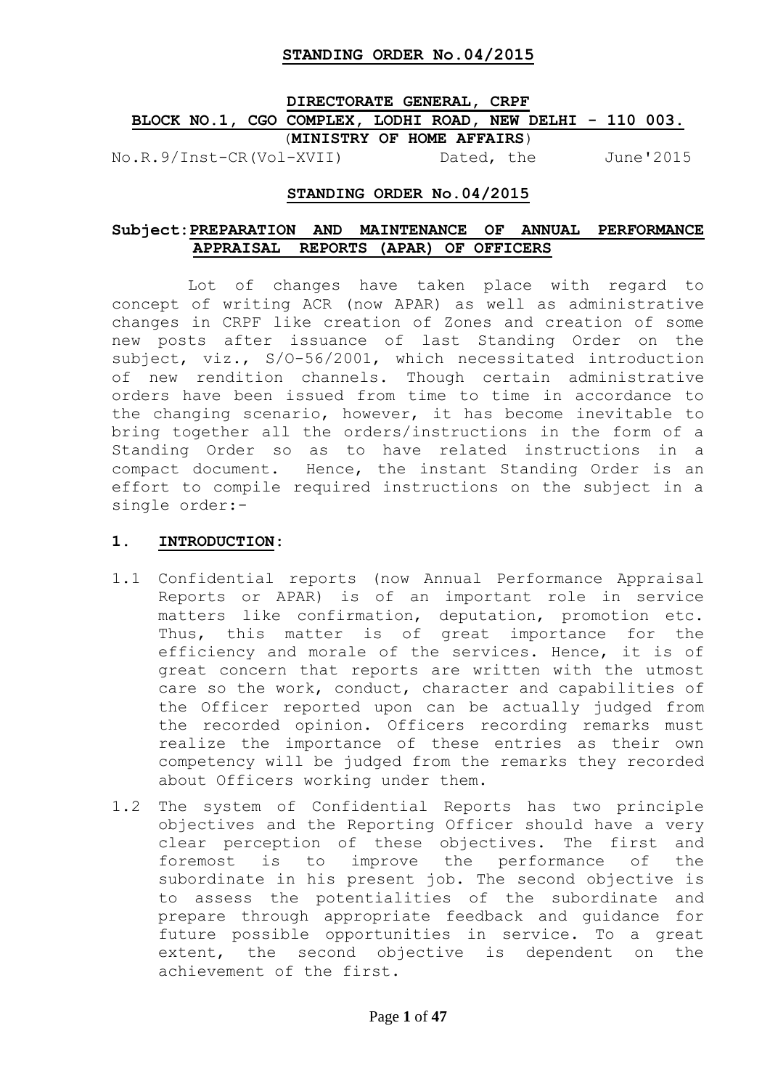## **DIRECTORATE GENERAL, CRPF BLOCK NO.1, CGO COMPLEX, LODHI ROAD, NEW DELHI - 110 003.** (**MINISTRY OF HOME AFFAIRS**)

No.R.9/Inst-CR(Vol-XVII) Dated, the June'2015

### **STANDING ORDER No.04/2015**

### **Subject:PREPARATION AND MAINTENANCE OF ANNUAL PERFORMANCE APPRAISAL REPORTS (APAR) OF OFFICERS**

 Lot of changes have taken place with regard to concept of writing ACR (now APAR) as well as administrative changes in CRPF like creation of Zones and creation of some new posts after issuance of last Standing Order on the subject, viz., S/O-56/2001, which necessitated introduction of new rendition channels. Though certain administrative orders have been issued from time to time in accordance to the changing scenario, however, it has become inevitable to bring together all the orders/instructions in the form of a Standing Order so as to have related instructions in a compact document. Hence, the instant Standing Order is an effort to compile required instructions on the subject in a single order:-

#### **1. INTRODUCTION:**

- 1.1 Confidential reports (now Annual Performance Appraisal Reports or APAR) is of an important role in service matters like confirmation, deputation, promotion etc. Thus, this matter is of great importance for the efficiency and morale of the services. Hence, it is of great concern that reports are written with the utmost care so the work, conduct, character and capabilities of the Officer reported upon can be actually judged from the recorded opinion. Officers recording remarks must realize the importance of these entries as their own competency will be judged from the remarks they recorded about Officers working under them.
- 1.2 The system of Confidential Reports has two principle objectives and the Reporting Officer should have a very clear perception of these objectives. The first and foremost is to improve the performance of the subordinate in his present job. The second objective is to assess the potentialities of the subordinate and prepare through appropriate feedback and guidance for future possible opportunities in service. To a great extent, the second objective is dependent on the achievement of the first.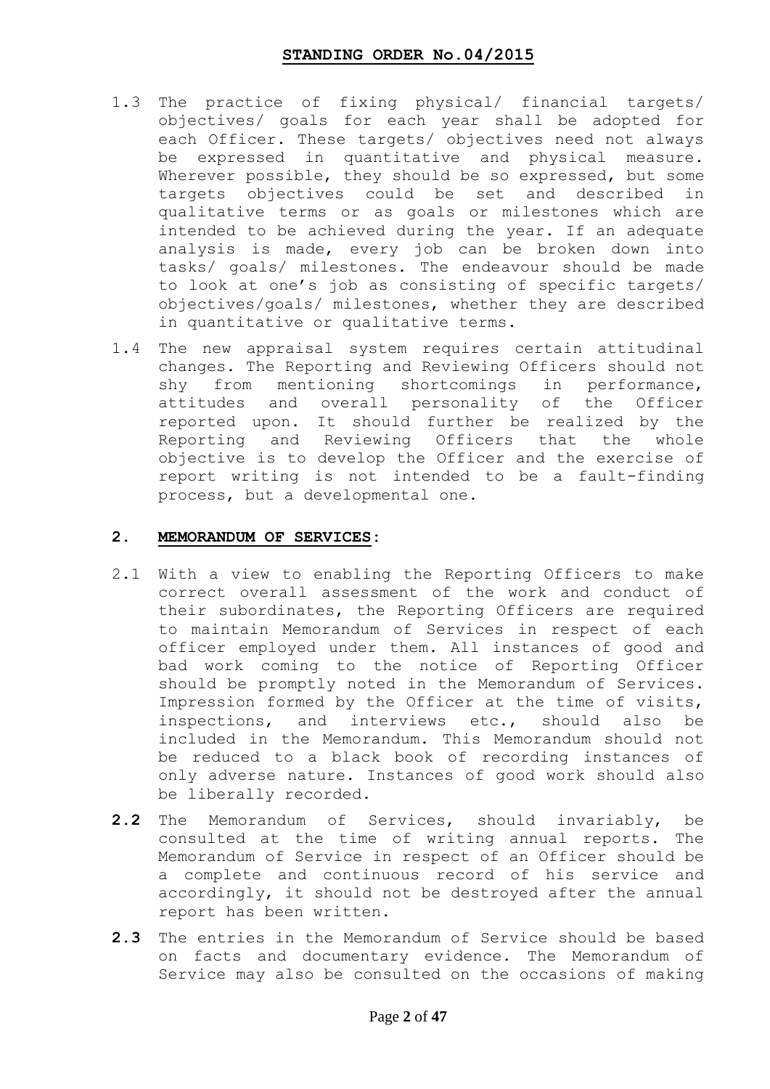- 1.3 The practice of fixing physical/ financial targets/ objectives/ goals for each year shall be adopted for each Officer. These targets/ objectives need not always be expressed in quantitative and physical measure. Wherever possible, they should be so expressed, but some targets objectives could be set and described in qualitative terms or as goals or milestones which are intended to be achieved during the year. If an adequate analysis is made, every job can be broken down into tasks/ goals/ milestones. The endeavour should be made to look at one"s job as consisting of specific targets/ objectives/goals/ milestones, whether they are described in quantitative or qualitative terms.
- 1.4 The new appraisal system requires certain attitudinal changes. The Reporting and Reviewing Officers should not shy from mentioning shortcomings in performance, attitudes and overall personality of the Officer reported upon. It should further be realized by the Reporting and Reviewing Officers that the whole objective is to develop the Officer and the exercise of report writing is not intended to be a fault-finding process, but a developmental one.

### **2. MEMORANDUM OF SERVICES:**

- 2.1 With a view to enabling the Reporting Officers to make correct overall assessment of the work and conduct of their subordinates, the Reporting Officers are required to maintain Memorandum of Services in respect of each officer employed under them. All instances of good and bad work coming to the notice of Reporting Officer should be promptly noted in the Memorandum of Services. Impression formed by the Officer at the time of visits, inspections, and interviews etc., should also be included in the Memorandum. This Memorandum should not be reduced to a black book of recording instances of only adverse nature. Instances of good work should also be liberally recorded.
- **2.2** The Memorandum of Services, should invariably, be consulted at the time of writing annual reports. The Memorandum of Service in respect of an Officer should be a complete and continuous record of his service and accordingly, it should not be destroyed after the annual report has been written.
- **2.3** The entries in the Memorandum of Service should be based on facts and documentary evidence. The Memorandum of Service may also be consulted on the occasions of making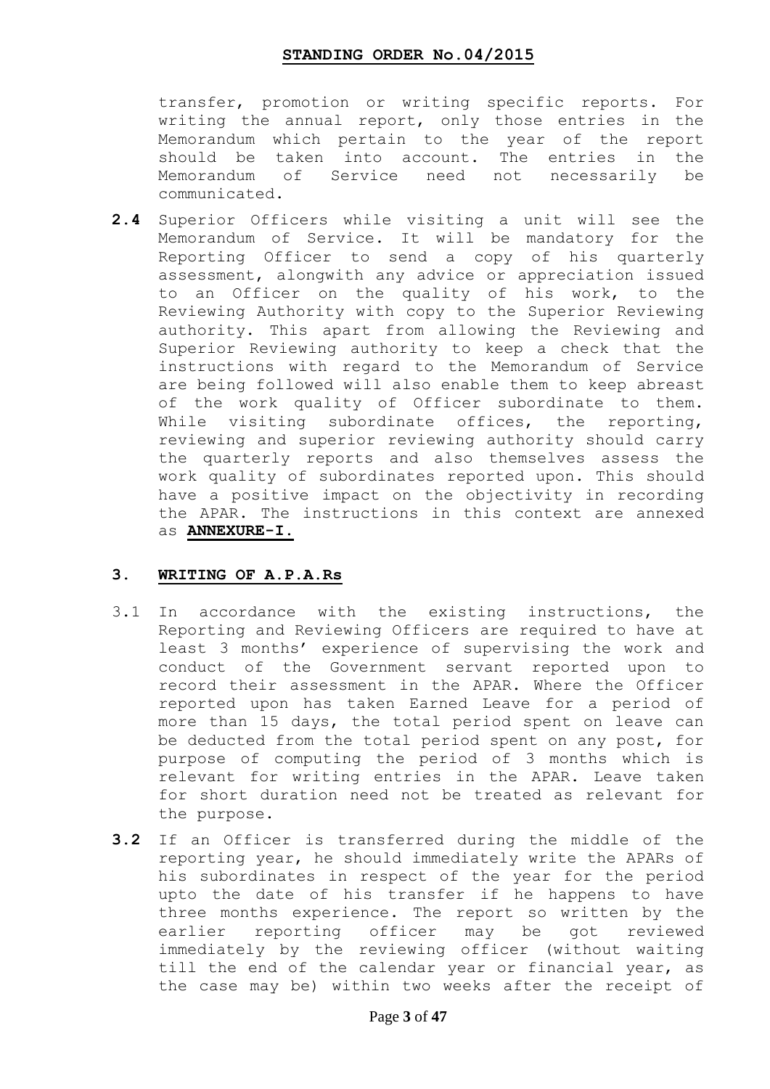transfer, promotion or writing specific reports. For writing the annual report, only those entries in the Memorandum which pertain to the year of the report should be taken into account. The entries in the Memorandum of Service need not necessarily be communicated.

**2.4** Superior Officers while visiting a unit will see the Memorandum of Service. It will be mandatory for the Reporting Officer to send a copy of his quarterly assessment, alongwith any advice or appreciation issued to an Officer on the quality of his work, to the Reviewing Authority with copy to the Superior Reviewing authority. This apart from allowing the Reviewing and Superior Reviewing authority to keep a check that the instructions with regard to the Memorandum of Service are being followed will also enable them to keep abreast of the work quality of Officer subordinate to them. While visiting subordinate offices, the reporting, reviewing and superior reviewing authority should carry the quarterly reports and also themselves assess the work quality of subordinates reported upon. This should have a positive impact on the objectivity in recording the APAR. The instructions in this context are annexed as **ANNEXURE-I.**

### **3. WRITING OF A.P.A.Rs**

- 3.1 In accordance with the existing instructions, the Reporting and Reviewing Officers are required to have at least 3 months" experience of supervising the work and conduct of the Government servant reported upon to record their assessment in the APAR. Where the Officer reported upon has taken Earned Leave for a period of more than 15 days, the total period spent on leave can be deducted from the total period spent on any post, for purpose of computing the period of 3 months which is relevant for writing entries in the APAR. Leave taken for short duration need not be treated as relevant for the purpose.
- **3.2** If an Officer is transferred during the middle of the reporting year, he should immediately write the APARs of his subordinates in respect of the year for the period upto the date of his transfer if he happens to have three months experience. The report so written by the earlier reporting officer may be got reviewed immediately by the reviewing officer (without waiting till the end of the calendar year or financial year, as the case may be) within two weeks after the receipt of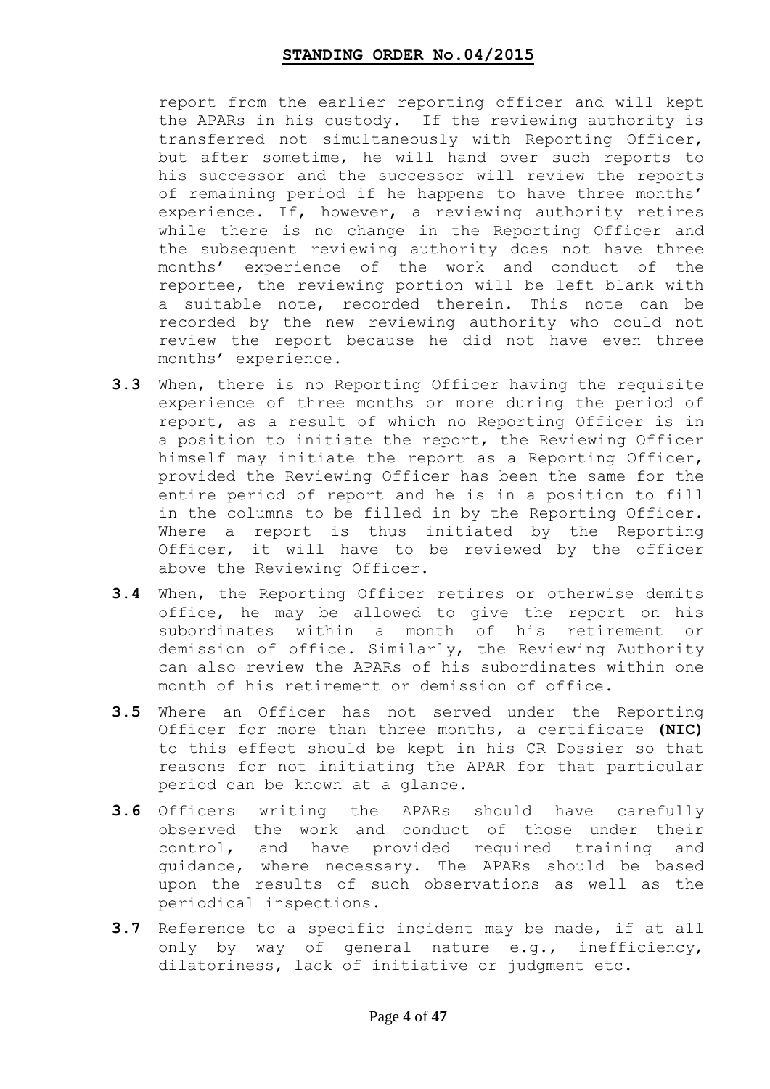report from the earlier reporting officer and will kept the APARs in his custody. If the reviewing authority is transferred not simultaneously with Reporting Officer, but after sometime, he will hand over such reports to his successor and the successor will review the reports of remaining period if he happens to have three months' experience. If, however, a reviewing authority retires while there is no change in the Reporting Officer and the subsequent reviewing authority does not have three months" experience of the work and conduct of the reportee, the reviewing portion will be left blank with a suitable note, recorded therein. This note can be recorded by the new reviewing authority who could not review the report because he did not have even three months" experience.

- **3.3** When, there is no Reporting Officer having the requisite experience of three months or more during the period of report, as a result of which no Reporting Officer is in a position to initiate the report, the Reviewing Officer himself may initiate the report as a Reporting Officer, provided the Reviewing Officer has been the same for the entire period of report and he is in a position to fill in the columns to be filled in by the Reporting Officer. Where a report is thus initiated by the Reporting Officer, it will have to be reviewed by the officer above the Reviewing Officer.
- **3.4** When, the Reporting Officer retires or otherwise demits office, he may be allowed to give the report on his subordinates within a month of his retirement or demission of office. Similarly, the Reviewing Authority can also review the APARs of his subordinates within one month of his retirement or demission of office.
- **3.5** Where an Officer has not served under the Reporting Officer for more than three months, a certificate **(NIC)**  to this effect should be kept in his CR Dossier so that reasons for not initiating the APAR for that particular period can be known at a glance.
- **3.6** Officers writing the APARs should have carefully observed the work and conduct of those under their control, and have provided required training and guidance, where necessary. The APARs should be based upon the results of such observations as well as the periodical inspections.
- **3.7** Reference to a specific incident may be made, if at all only by way of general nature e.g., inefficiency, dilatoriness, lack of initiative or judgment etc.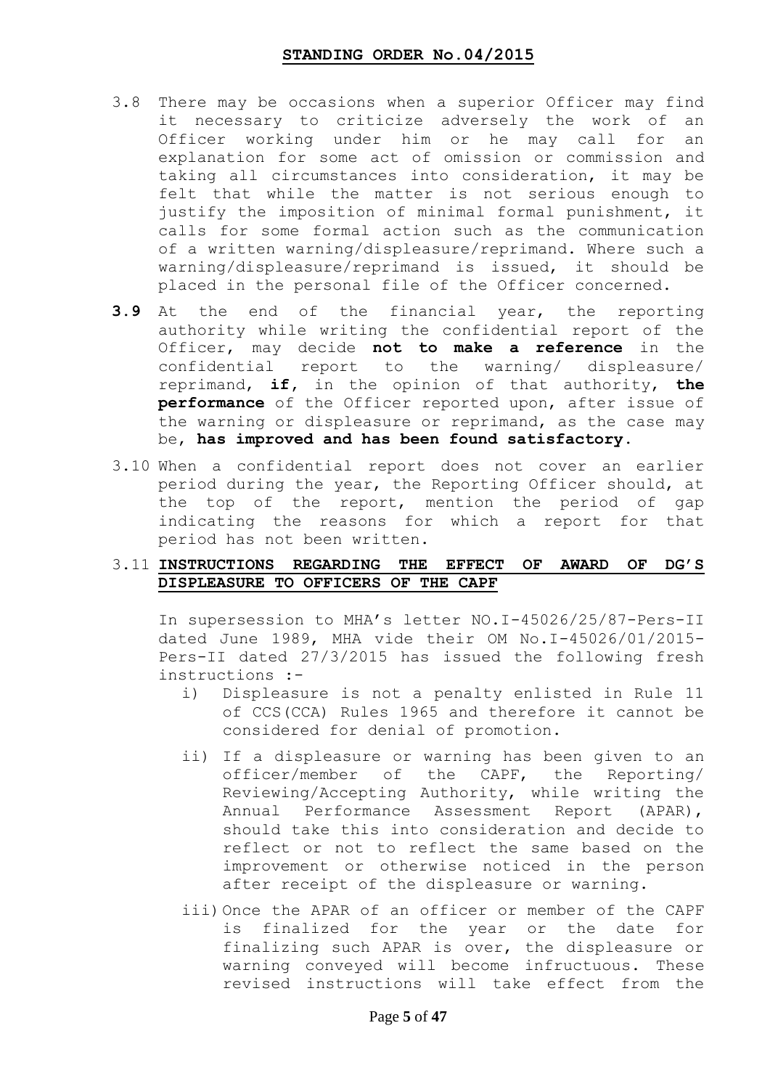- 3.8 There may be occasions when a superior Officer may find it necessary to criticize adversely the work of an Officer working under him or he may call for an explanation for some act of omission or commission and taking all circumstances into consideration, it may be felt that while the matter is not serious enough to justify the imposition of minimal formal punishment, it calls for some formal action such as the communication of a written warning/displeasure/reprimand. Where such a warning/displeasure/reprimand is issued, it should be placed in the personal file of the Officer concerned.
- **3.9** At the end of the financial year, the reporting authority while writing the confidential report of the Officer, may decide **not to make a reference** in the confidential report to the warning/ displeasure/ reprimand, **if,** in the opinion of that authority, **the performance** of the Officer reported upon, after issue of the warning or displeasure or reprimand, as the case may be, **has improved and has been found satisfactory.**
- 3.10 When a confidential report does not cover an earlier period during the year, the Reporting Officer should, at the top of the report, mention the period of gap indicating the reasons for which a report for that period has not been written.

### 3.11 **INSTRUCTIONS REGARDING THE EFFECT OF AWARD OF DG"S DISPLEASURE TO OFFICERS OF THE CAPF**

In supersession to MHA"s letter NO.I-45026/25/87-Pers-II dated June 1989, MHA vide their OM No.I-45026/01/2015- Pers-II dated 27/3/2015 has issued the following fresh instructions :-

- i) Displeasure is not a penalty enlisted in Rule 11 of CCS(CCA) Rules 1965 and therefore it cannot be considered for denial of promotion.
- ii) If a displeasure or warning has been given to an officer/member of the CAPF, the Reporting/ Reviewing/Accepting Authority, while writing the Annual Performance Assessment Report (APAR), should take this into consideration and decide to reflect or not to reflect the same based on the improvement or otherwise noticed in the person after receipt of the displeasure or warning.
- iii)Once the APAR of an officer or member of the CAPF is finalized for the year or the date for finalizing such APAR is over, the displeasure or warning conveyed will become infructuous. These revised instructions will take effect from the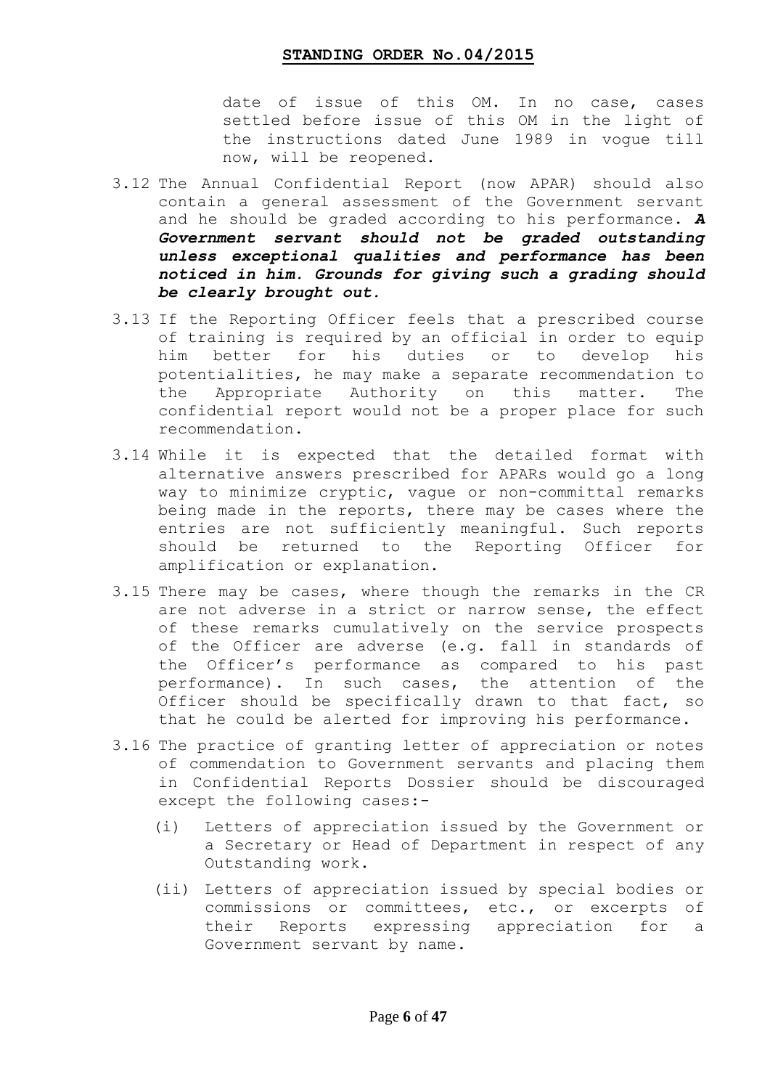date of issue of this OM. In no case, cases settled before issue of this OM in the light of the instructions dated June 1989 in vogue till now, will be reopened.

- 3.12 The Annual Confidential Report (now APAR) should also contain a general assessment of the Government servant and he should be graded according to his performance. *A Government servant should not be graded outstanding unless exceptional qualities and performance has been noticed in him. Grounds for giving such a grading should be clearly brought out.*
- 3.13 If the Reporting Officer feels that a prescribed course of training is required by an official in order to equip him better for his duties or to develop his potentialities, he may make a separate recommendation to the Appropriate Authority on this matter. The confidential report would not be a proper place for such recommendation.
- 3.14 While it is expected that the detailed format with alternative answers prescribed for APARs would go a long way to minimize cryptic, vague or non-committal remarks being made in the reports, there may be cases where the entries are not sufficiently meaningful. Such reports should be returned to the Reporting Officer for amplification or explanation.
- 3.15 There may be cases, where though the remarks in the CR are not adverse in a strict or narrow sense, the effect of these remarks cumulatively on the service prospects of the Officer are adverse (e.g. fall in standards of the Officer"s performance as compared to his past performance). In such cases, the attention of the Officer should be specifically drawn to that fact, so that he could be alerted for improving his performance.
- 3.16 The practice of granting letter of appreciation or notes of commendation to Government servants and placing them in Confidential Reports Dossier should be discouraged except the following cases:-
	- (i) Letters of appreciation issued by the Government or a Secretary or Head of Department in respect of any Outstanding work.
	- (ii) Letters of appreciation issued by special bodies or commissions or committees, etc., or excerpts of their Reports expressing appreciation for a Government servant by name.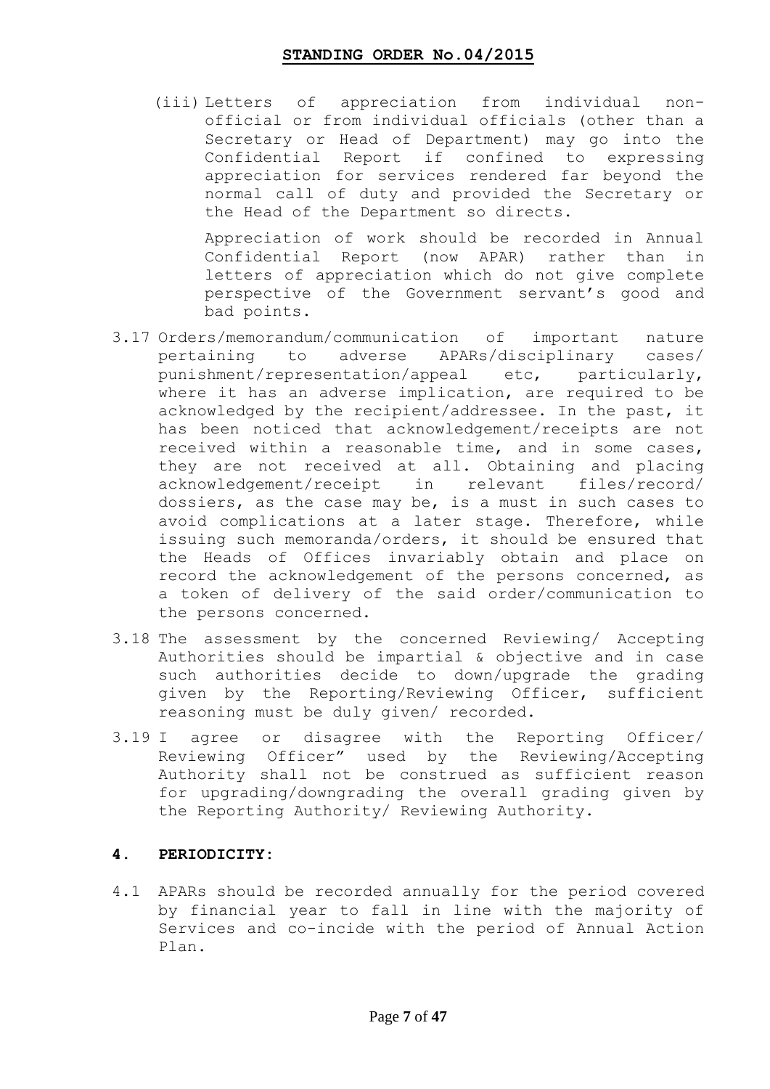(iii) Letters of appreciation from individual nonofficial or from individual officials (other than a Secretary or Head of Department) may go into the Confidential Report if confined to expressing appreciation for services rendered far beyond the normal call of duty and provided the Secretary or the Head of the Department so directs.

Appreciation of work should be recorded in Annual Confidential Report (now APAR) rather than in letters of appreciation which do not give complete perspective of the Government servant"s good and bad points.

- 3.17 Orders/memorandum/communication of important nature pertaining to adverse APARs/disciplinary cases/ punishment/representation/appeal etc, particularly, where it has an adverse implication, are required to be acknowledged by the recipient/addressee. In the past, it has been noticed that acknowledgement/receipts are not received within a reasonable time, and in some cases, they are not received at all. Obtaining and placing acknowledgement/receipt in relevant files/record/ dossiers, as the case may be, is a must in such cases to avoid complications at a later stage. Therefore, while issuing such memoranda/orders, it should be ensured that the Heads of Offices invariably obtain and place on record the acknowledgement of the persons concerned, as a token of delivery of the said order/communication to the persons concerned.
- 3.18 The assessment by the concerned Reviewing/ Accepting Authorities should be impartial & objective and in case such authorities decide to down/upgrade the grading given by the Reporting/Reviewing Officer, sufficient reasoning must be duly given/ recorded.
- 3.19 I agree or disagree with the Reporting Officer/ Reviewing Officer" used by the Reviewing/Accepting Authority shall not be construed as sufficient reason for upgrading/downgrading the overall grading given by the Reporting Authority/ Reviewing Authority.

### **4. PERIODICITY:**

4.1 APARs should be recorded annually for the period covered by financial year to fall in line with the majority of Services and co-incide with the period of Annual Action Plan.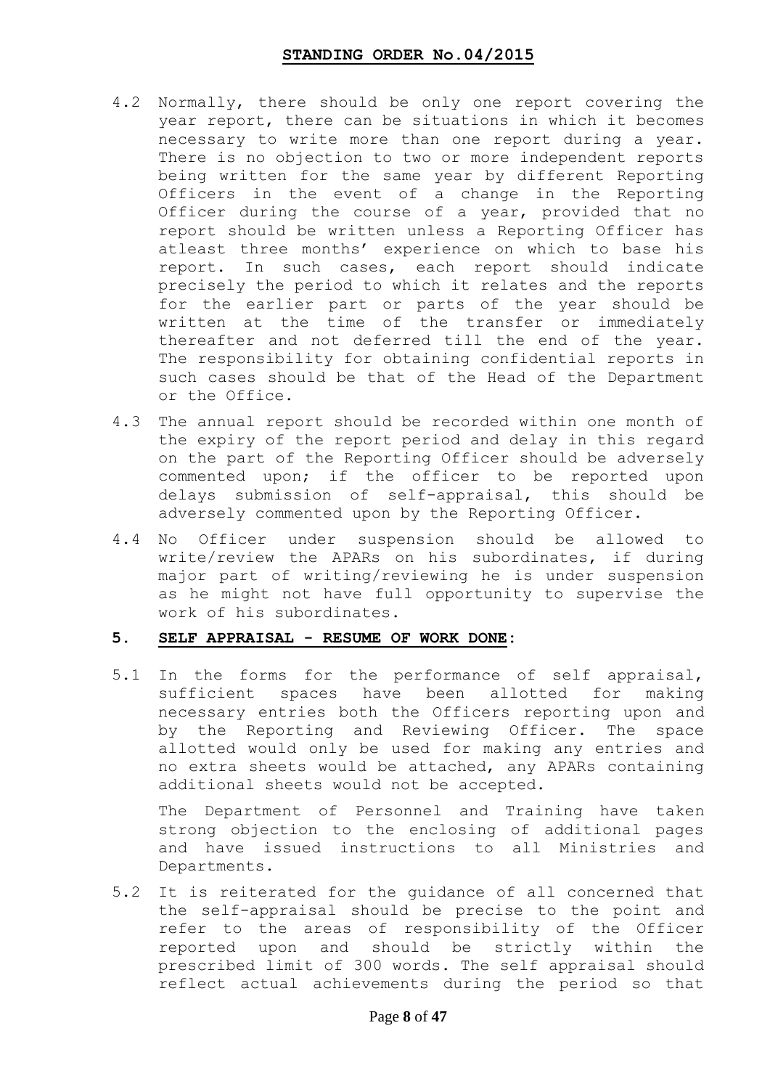- 4.2 Normally, there should be only one report covering the year report, there can be situations in which it becomes necessary to write more than one report during a year. There is no objection to two or more independent reports being written for the same year by different Reporting Officers in the event of a change in the Reporting Officer during the course of a year, provided that no report should be written unless a Reporting Officer has atleast three months' experience on which to base his report. In such cases, each report should indicate precisely the period to which it relates and the reports for the earlier part or parts of the year should be written at the time of the transfer or immediately thereafter and not deferred till the end of the year. The responsibility for obtaining confidential reports in such cases should be that of the Head of the Department or the Office.
- 4.3 The annual report should be recorded within one month of the expiry of the report period and delay in this regard on the part of the Reporting Officer should be adversely commented upon; if the officer to be reported upon delays submission of self-appraisal, this should be adversely commented upon by the Reporting Officer.
- 4.4 No Officer under suspension should be allowed to write/review the APARs on his subordinates, if during major part of writing/reviewing he is under suspension as he might not have full opportunity to supervise the work of his subordinates.

### **5. SELF APPRAISAL - RESUME OF WORK DONE:**

5.1 In the forms for the performance of self appraisal, sufficient spaces have been allotted for making necessary entries both the Officers reporting upon and by the Reporting and Reviewing Officer. The space allotted would only be used for making any entries and no extra sheets would be attached, any APARs containing additional sheets would not be accepted.

The Department of Personnel and Training have taken strong objection to the enclosing of additional pages and have issued instructions to all Ministries and Departments.

5.2 It is reiterated for the guidance of all concerned that the self-appraisal should be precise to the point and refer to the areas of responsibility of the Officer reported upon and should be strictly within the prescribed limit of 300 words. The self appraisal should reflect actual achievements during the period so that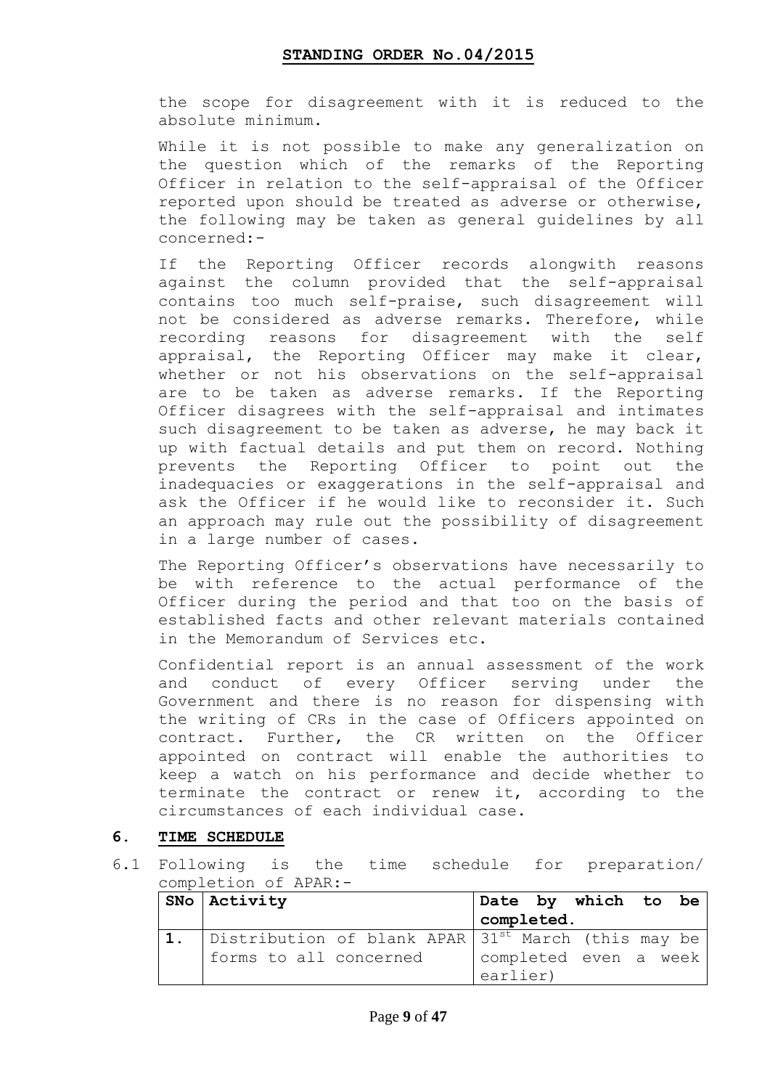the scope for disagreement with it is reduced to the absolute minimum.

While it is not possible to make any generalization on the question which of the remarks of the Reporting Officer in relation to the self-appraisal of the Officer reported upon should be treated as adverse or otherwise, the following may be taken as general guidelines by all concerned:-

If the Reporting Officer records alongwith reasons against the column provided that the self-appraisal contains too much self-praise, such disagreement will not be considered as adverse remarks. Therefore, while recording reasons for disagreement with the self appraisal, the Reporting Officer may make it clear, whether or not his observations on the self-appraisal are to be taken as adverse remarks. If the Reporting Officer disagrees with the self-appraisal and intimates such disagreement to be taken as adverse, he may back it up with factual details and put them on record. Nothing prevents the Reporting Officer to point out the inadequacies or exaggerations in the self-appraisal and ask the Officer if he would like to reconsider it. Such an approach may rule out the possibility of disagreement in a large number of cases.

The Reporting Officer's observations have necessarily to be with reference to the actual performance of the Officer during the period and that too on the basis of established facts and other relevant materials contained in the Memorandum of Services etc.

Confidential report is an annual assessment of the work and conduct of every Officer serving under the Government and there is no reason for dispensing with the writing of CRs in the case of Officers appointed on contract. Further, the CR written on the Officer appointed on contract will enable the authorities to keep a watch on his performance and decide whether to terminate the contract or renew it, according to the circumstances of each individual case.

### **6. TIME SCHEDULE**

6.1 Following is the time schedule for preparation/ completion of APAR:-

| $SNO$ Activity                                                    |  |            | Date by which to be   |  |
|-------------------------------------------------------------------|--|------------|-----------------------|--|
|                                                                   |  | completed. |                       |  |
| 1. Distribution of blank APAR 31 <sup>st</sup> March (this may be |  |            |                       |  |
| forms to all concerned                                            |  |            | completed even a week |  |
|                                                                   |  | earlier)   |                       |  |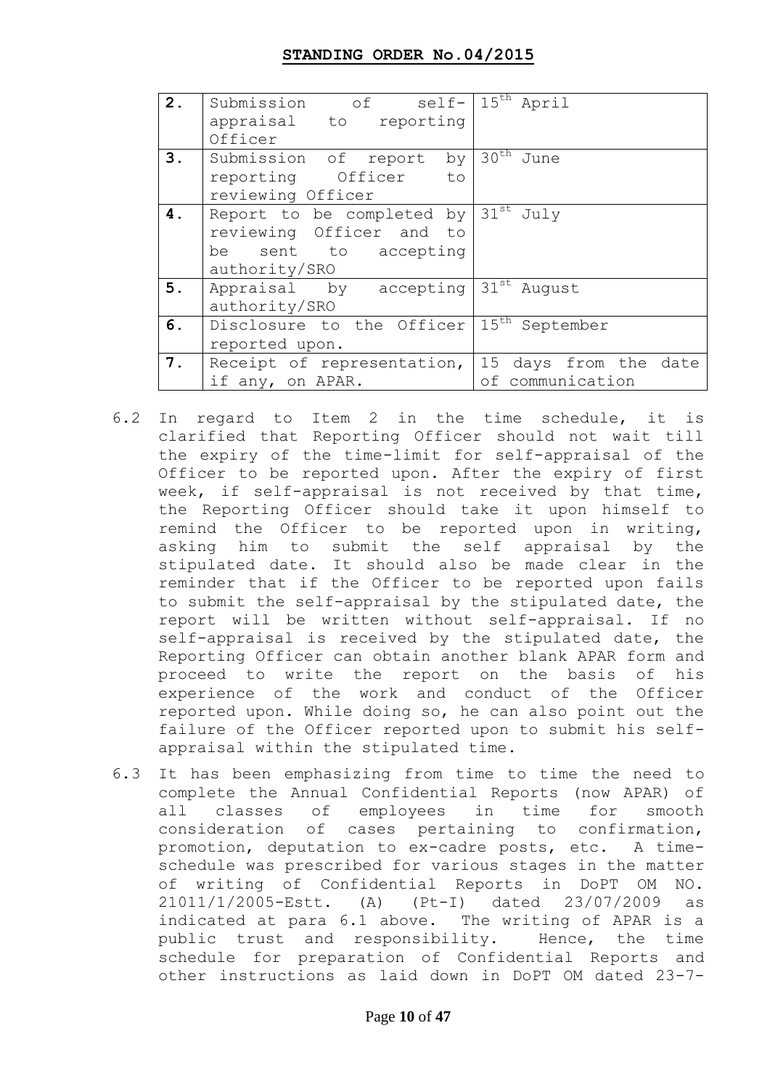| 2. | Submission of self-                           | $15th$ April                  |
|----|-----------------------------------------------|-------------------------------|
|    | appraisal to reporting                        |                               |
|    | Officer                                       |                               |
| 3. | Submission of report by $30^{\text{th}}$ June |                               |
|    | reporting Officer to                          |                               |
|    | reviewing Officer                             |                               |
| 4. | Report to be completed by                     | $31^{\text{st}}$ July         |
|    | reviewing Officer and to                      |                               |
|    | be sent to accepting                          |                               |
|    | authority/SRO                                 |                               |
| 5. | Appraisal by accepting 31st August            |                               |
|    | authority/SRO                                 |                               |
| 6. | Disclosure to the Officer                     | $15^{\text{th}}$<br>September |
|    | reported upon.                                |                               |
| 7. | Receipt of representation,                    | 15 days from the date         |
|    | if any, on APAR.                              | communication<br>оf           |

- 6.2 In regard to Item 2 in the time schedule, it is clarified that Reporting Officer should not wait till the expiry of the time-limit for self-appraisal of the Officer to be reported upon. After the expiry of first week, if self-appraisal is not received by that time, the Reporting Officer should take it upon himself to remind the Officer to be reported upon in writing, asking him to submit the self appraisal by the stipulated date. It should also be made clear in the reminder that if the Officer to be reported upon fails to submit the self-appraisal by the stipulated date, the report will be written without self-appraisal. If no self-appraisal is received by the stipulated date, the Reporting Officer can obtain another blank APAR form and proceed to write the report on the basis of his experience of the work and conduct of the Officer reported upon. While doing so, he can also point out the failure of the Officer reported upon to submit his selfappraisal within the stipulated time.
- 6.3 It has been emphasizing from time to time the need to complete the Annual Confidential Reports (now APAR) of all classes of employees in time for smooth consideration of cases pertaining to confirmation, promotion, deputation to ex-cadre posts, etc. A timeschedule was prescribed for various stages in the matter of writing of Confidential Reports in DoPT OM NO. 21011/1/2005-Estt. (A) (Pt-I) dated 23/07/2009 as indicated at para 6.1 above. The writing of APAR is a public trust and responsibility. Hence, the time schedule for preparation of Confidential Reports and other instructions as laid down in DoPT OM dated 23-7-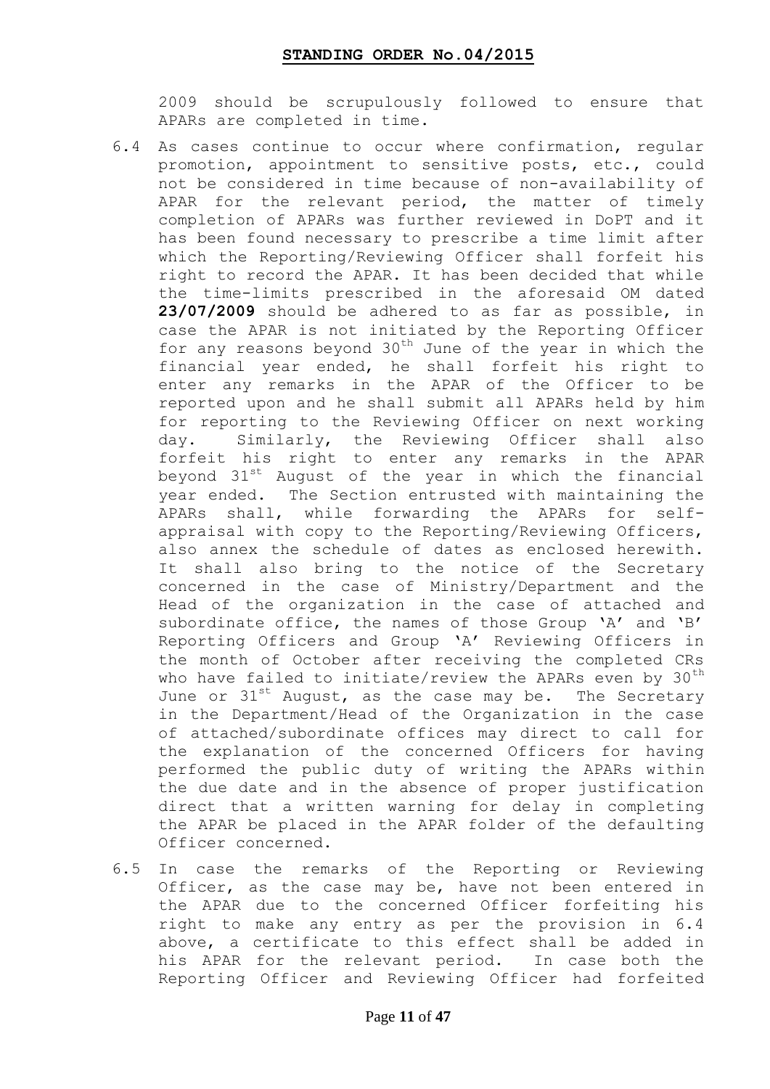2009 should be scrupulously followed to ensure that APARs are completed in time.

- 6.4 As cases continue to occur where confirmation, regular promotion, appointment to sensitive posts, etc., could not be considered in time because of non-availability of APAR for the relevant period, the matter of timely completion of APARs was further reviewed in DoPT and it has been found necessary to prescribe a time limit after which the Reporting/Reviewing Officer shall forfeit his right to record the APAR. It has been decided that while the time-limits prescribed in the aforesaid OM dated **23/07/2009** should be adhered to as far as possible, in case the APAR is not initiated by the Reporting Officer for any reasons beyond  $30<sup>th</sup>$  June of the year in which the financial year ended, he shall forfeit his right to enter any remarks in the APAR of the Officer to be reported upon and he shall submit all APARs held by him for reporting to the Reviewing Officer on next working day. Similarly, the Reviewing Officer shall also forfeit his right to enter any remarks in the APAR beyond  $31^{st}$  August of the year in which the financial year ended. The Section entrusted with maintaining the APARs shall, while forwarding the APARs for selfappraisal with copy to the Reporting/Reviewing Officers, also annex the schedule of dates as enclosed herewith. It shall also bring to the notice of the Secretary concerned in the case of Ministry/Department and the Head of the organization in the case of attached and subordinate office, the names of those Group 'A' and 'B' Reporting Officers and Group "A" Reviewing Officers in the month of October after receiving the completed CRs who have failed to initiate/review the APARs even by  $30<sup>th</sup>$ June or  $31^{st}$  August, as the case may be. The Secretary in the Department/Head of the Organization in the case of attached/subordinate offices may direct to call for the explanation of the concerned Officers for having performed the public duty of writing the APARs within the due date and in the absence of proper justification direct that a written warning for delay in completing the APAR be placed in the APAR folder of the defaulting Officer concerned.
- 6.5 In case the remarks of the Reporting or Reviewing Officer, as the case may be, have not been entered in the APAR due to the concerned Officer forfeiting his right to make any entry as per the provision in 6.4 above, a certificate to this effect shall be added in his APAR for the relevant period. In case both the Reporting Officer and Reviewing Officer had forfeited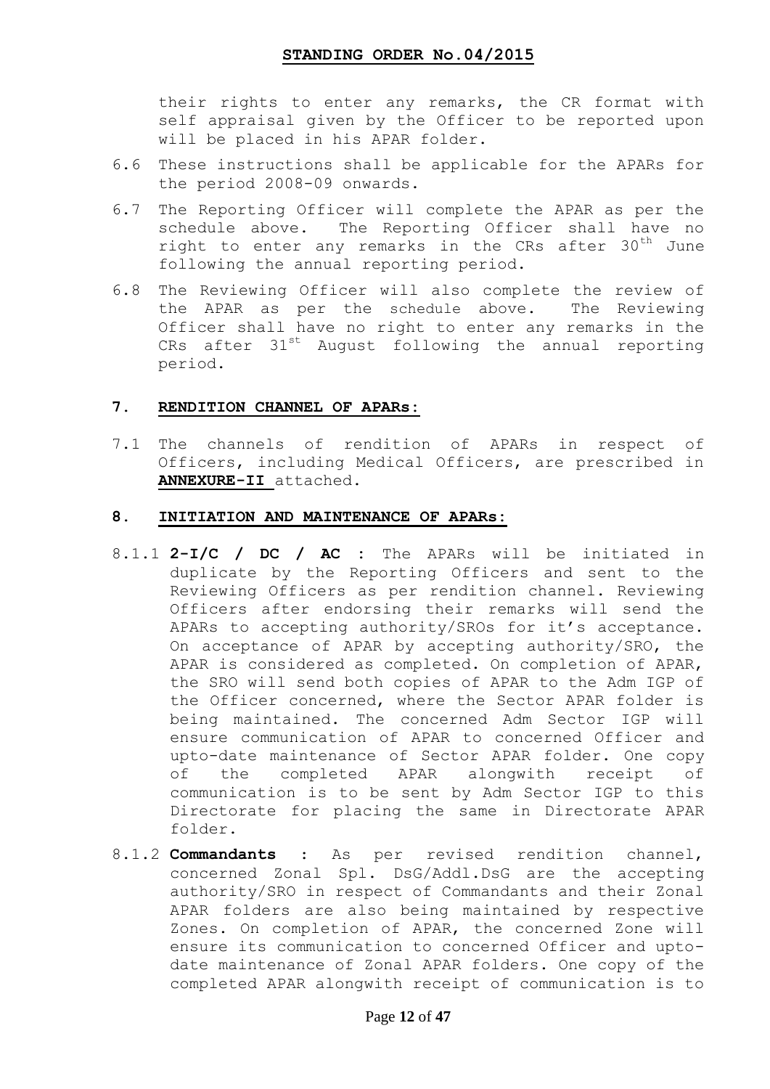their rights to enter any remarks, the CR format with self appraisal given by the Officer to be reported upon will be placed in his APAR folder.

- 6.6 These instructions shall be applicable for the APARs for the period 2008-09 onwards.
- 6.7 The Reporting Officer will complete the APAR as per the schedule above. The Reporting Officer shall have no right to enter any remarks in the CRs after 30<sup>th</sup> June following the annual reporting period.
- 6.8 The Reviewing Officer will also complete the review of the APAR as per the schedule above. The Reviewing Officer shall have no right to enter any remarks in the CRs after 31<sup>st</sup> August following the annual reporting period.

### **7. RENDITION CHANNEL OF APARs:**

7.1 The channels of rendition of APARs in respect of Officers, including Medical Officers, are prescribed in **ANNEXURE-II** attached.

### **8. INITIATION AND MAINTENANCE OF APARs:**

- 8.1.1 **2-I/C / DC / AC :** The APARs will be initiated in duplicate by the Reporting Officers and sent to the Reviewing Officers as per rendition channel. Reviewing Officers after endorsing their remarks will send the APARs to accepting authority/SROs for it's acceptance. On acceptance of APAR by accepting authority/SRO, the APAR is considered as completed. On completion of APAR, the SRO will send both copies of APAR to the Adm IGP of the Officer concerned, where the Sector APAR folder is being maintained. The concerned Adm Sector IGP will ensure communication of APAR to concerned Officer and upto-date maintenance of Sector APAR folder. One copy of the completed APAR alongwith receipt of communication is to be sent by Adm Sector IGP to this Directorate for placing the same in Directorate APAR folder.
- 8.1.2 **Commandants** : As per revised rendition channel, concerned Zonal Spl. DsG/Addl.DsG are the accepting authority/SRO in respect of Commandants and their Zonal APAR folders are also being maintained by respective Zones. On completion of APAR, the concerned Zone will ensure its communication to concerned Officer and uptodate maintenance of Zonal APAR folders. One copy of the completed APAR alongwith receipt of communication is to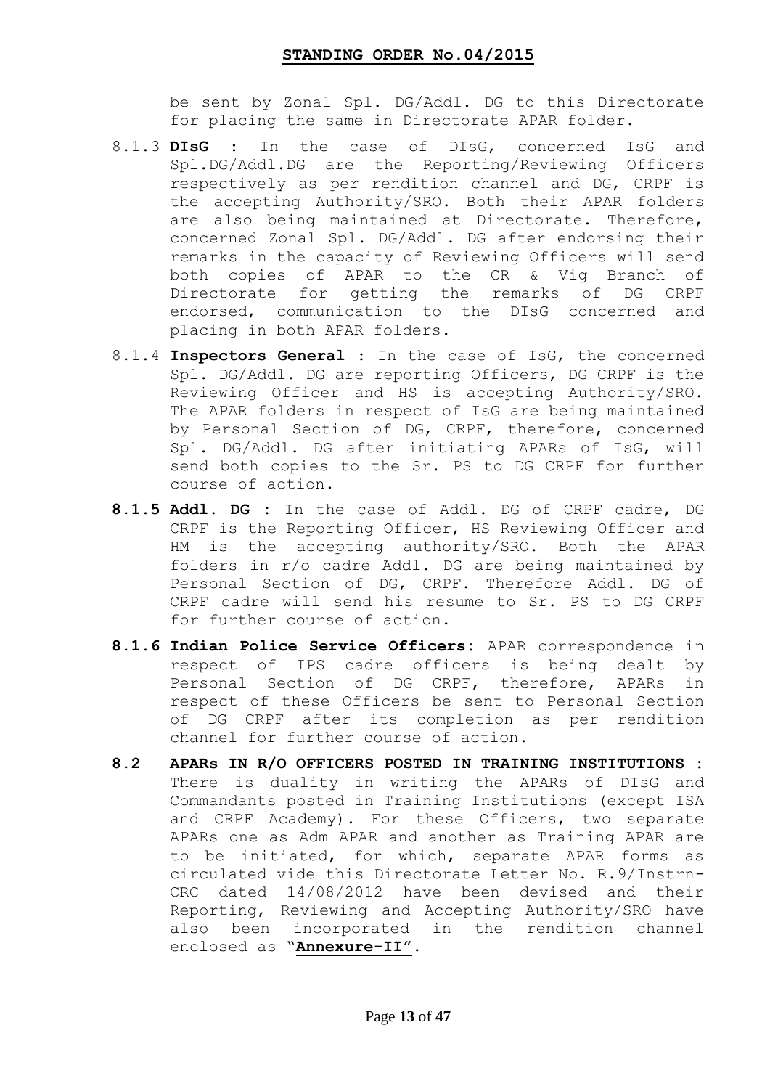be sent by Zonal Spl. DG/Addl. DG to this Directorate for placing the same in Directorate APAR folder.

- 8.1.3 **DIsG** : In the case of DIsG, concerned IsG and Spl.DG/Addl.DG are the Reporting/Reviewing Officers respectively as per rendition channel and DG, CRPF is the accepting Authority/SRO. Both their APAR folders are also being maintained at Directorate. Therefore, concerned Zonal Spl. DG/Addl. DG after endorsing their remarks in the capacity of Reviewing Officers will send both copies of APAR to the CR & Vig Branch of Directorate for getting the remarks of DG CRPF endorsed, communication to the DIsG concerned and placing in both APAR folders.
- 8.1.4 **Inspectors General** : In the case of IsG, the concerned Spl. DG/Addl. DG are reporting Officers, DG CRPF is the Reviewing Officer and HS is accepting Authority/SRO. The APAR folders in respect of IsG are being maintained by Personal Section of DG, CRPF, therefore, concerned Spl. DG/Addl. DG after initiating APARs of IsG, will send both copies to the Sr. PS to DG CRPF for further course of action.
- **8.1.5 Addl. DG :** In the case of Addl. DG of CRPF cadre, DG CRPF is the Reporting Officer, HS Reviewing Officer and HM is the accepting authority/SRO. Both the APAR folders in r/o cadre Addl. DG are being maintained by Personal Section of DG, CRPF. Therefore Addl. DG of CRPF cadre will send his resume to Sr. PS to DG CRPF for further course of action.
- **8.1.6 Indian Police Service Officers:** APAR correspondence in respect of IPS cadre officers is being dealt by Personal Section of DG CRPF, therefore, APARs in respect of these Officers be sent to Personal Section of DG CRPF after its completion as per rendition channel for further course of action.
- **8.2 APARs IN R/O OFFICERS POSTED IN TRAINING INSTITUTIONS :**  There is duality in writing the APARs of DIsG and Commandants posted in Training Institutions (except ISA and CRPF Academy). For these Officers, two separate APARs one as Adm APAR and another as Training APAR are to be initiated, for which, separate APAR forms as circulated vide this Directorate Letter No. R.9/Instrn-CRC dated 14/08/2012 have been devised and their Reporting, Reviewing and Accepting Authority/SRO have also been incorporated in the rendition channel enclosed as "**Annexure-II"**.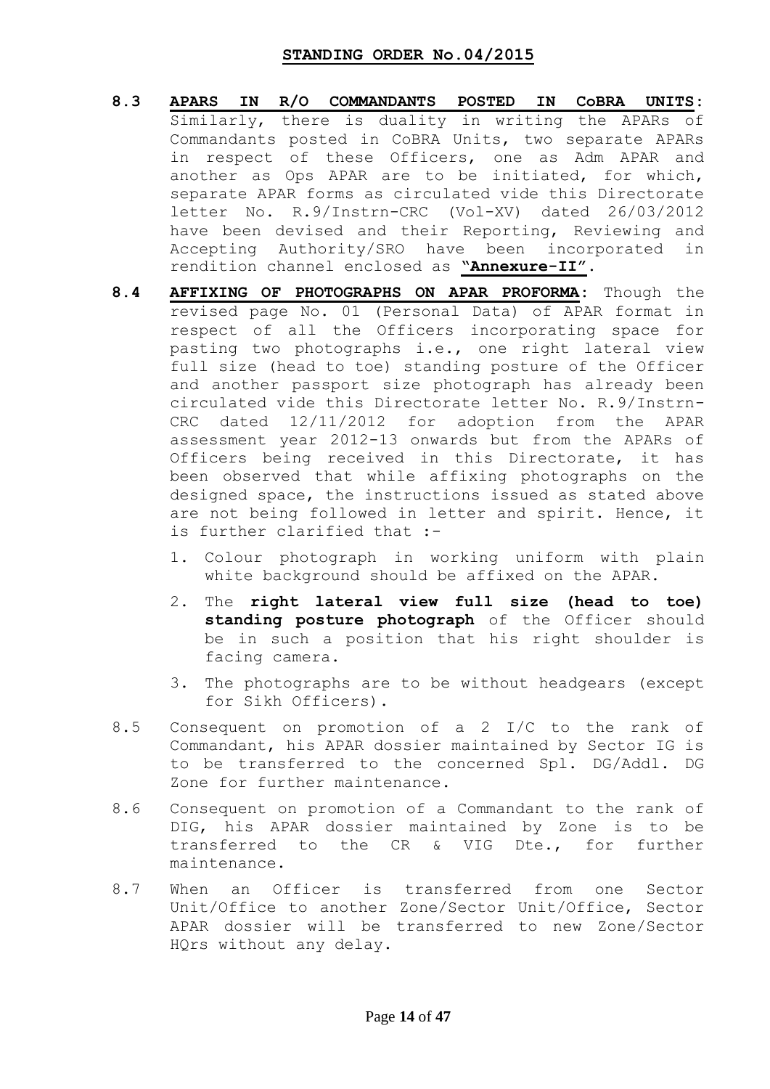- **8.3 APARS IN R/O COMMANDANTS POSTED IN CoBRA UNITS:**  Similarly, there is duality in writing the APARs of Commandants posted in CoBRA Units, two separate APARs in respect of these Officers, one as Adm APAR and another as Ops APAR are to be initiated, for which, separate APAR forms as circulated vide this Directorate letter No. R.9/Instrn-CRC (Vol-XV) dated 26/03/2012 have been devised and their Reporting, Reviewing and Accepting Authority/SRO have been incorporated in rendition channel enclosed as **"Annexure-II"**.
- **8.4 AFFIXING OF PHOTOGRAPHS ON APAR PROFORMA:** Though the revised page No. 01 (Personal Data) of APAR format in respect of all the Officers incorporating space for pasting two photographs i.e., one right lateral view full size (head to toe) standing posture of the Officer and another passport size photograph has already been circulated vide this Directorate letter No. R.9/Instrn-CRC dated 12/11/2012 for adoption from the APAR assessment year 2012-13 onwards but from the APARs of Officers being received in this Directorate, it has been observed that while affixing photographs on the designed space, the instructions issued as stated above are not being followed in letter and spirit. Hence, it is further clarified that :-
	- 1. Colour photograph in working uniform with plain white background should be affixed on the APAR.
	- 2. The **right lateral view full size (head to toe) standing posture photograph** of the Officer should be in such a position that his right shoulder is facing camera.
	- 3. The photographs are to be without headgears (except for Sikh Officers).
- 8.5 Consequent on promotion of a 2 I/C to the rank of Commandant, his APAR dossier maintained by Sector IG is to be transferred to the concerned Spl. DG/Addl. DG Zone for further maintenance.
- 8.6 Consequent on promotion of a Commandant to the rank of DIG, his APAR dossier maintained by Zone is to be transferred to the CR & VIG Dte., for further maintenance.
- 8.7 When an Officer is transferred from one Sector Unit/Office to another Zone/Sector Unit/Office, Sector APAR dossier will be transferred to new Zone/Sector HQrs without any delay.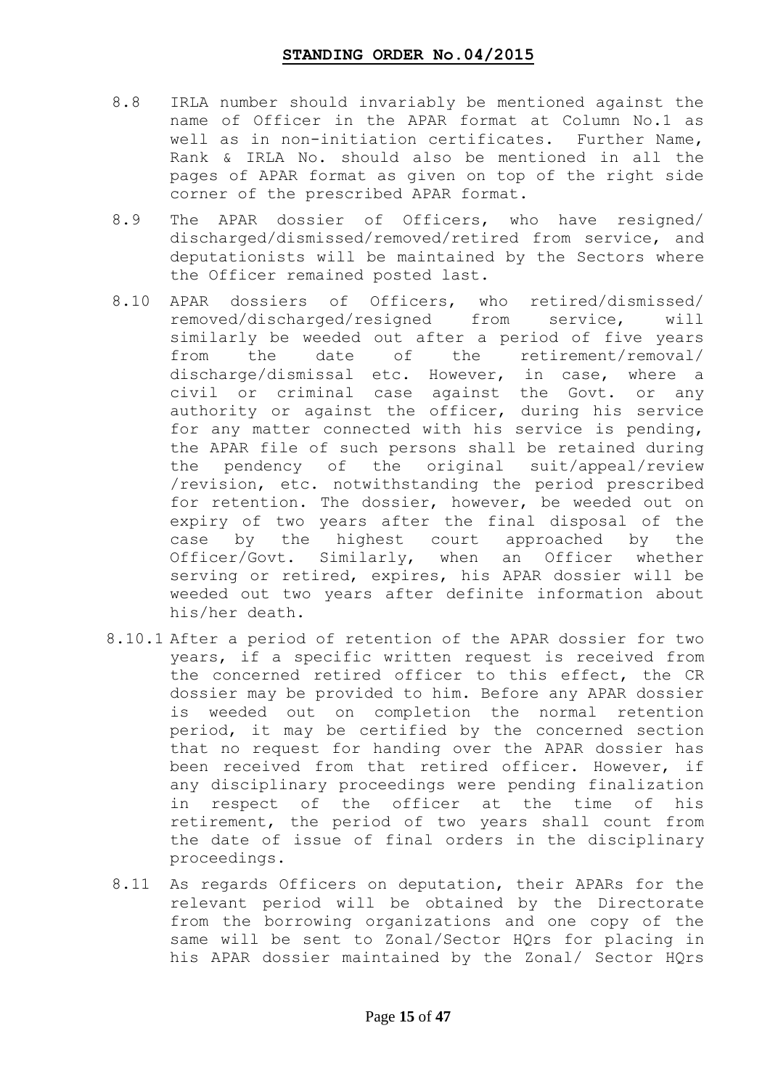- 8.8 IRLA number should invariably be mentioned against the name of Officer in the APAR format at Column No.1 as well as in non-initiation certificates. Further Name, Rank & IRLA No. should also be mentioned in all the pages of APAR format as given on top of the right side corner of the prescribed APAR format.
- 8.9 The APAR dossier of Officers, who have resigned/ discharged/dismissed/removed/retired from service, and deputationists will be maintained by the Sectors where the Officer remained posted last.
- 8.10 APAR dossiers of Officers, who retired/dismissed/ removed/discharged/resigned from service, will similarly be weeded out after a period of five years from the date of the retirement/removal/ discharge/dismissal etc. However, in case, where a civil or criminal case against the Govt. or any authority or against the officer, during his service for any matter connected with his service is pending, the APAR file of such persons shall be retained during the pendency of the original suit/appeal/review /revision, etc. notwithstanding the period prescribed for retention. The dossier, however, be weeded out on expiry of two years after the final disposal of the case by the highest court approached by the Officer/Govt. Similarly, when an Officer whether serving or retired, expires, his APAR dossier will be weeded out two years after definite information about his/her death.
- 8.10.1 After a period of retention of the APAR dossier for two years, if a specific written request is received from the concerned retired officer to this effect, the CR dossier may be provided to him. Before any APAR dossier is weeded out on completion the normal retention period, it may be certified by the concerned section that no request for handing over the APAR dossier has been received from that retired officer. However, if any disciplinary proceedings were pending finalization in respect of the officer at the time of his retirement, the period of two years shall count from the date of issue of final orders in the disciplinary proceedings.
- 8.11 As regards Officers on deputation, their APARs for the relevant period will be obtained by the Directorate from the borrowing organizations and one copy of the same will be sent to Zonal/Sector HQrs for placing in his APAR dossier maintained by the Zonal/ Sector HQrs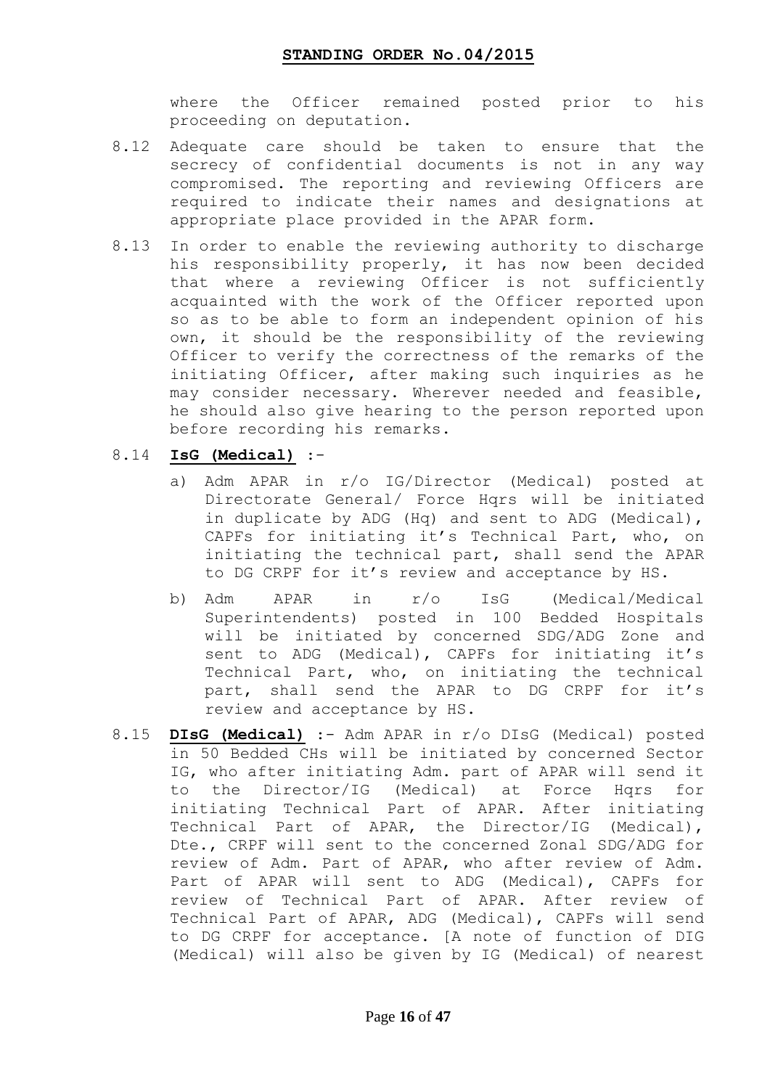where the Officer remained posted prior to his proceeding on deputation.

- 8.12 Adequate care should be taken to ensure that the secrecy of confidential documents is not in any way compromised. The reporting and reviewing Officers are required to indicate their names and designations at appropriate place provided in the APAR form.
- 8.13 In order to enable the reviewing authority to discharge his responsibility properly, it has now been decided that where a reviewing Officer is not sufficiently acquainted with the work of the Officer reported upon so as to be able to form an independent opinion of his own, it should be the responsibility of the reviewing Officer to verify the correctness of the remarks of the initiating Officer, after making such inquiries as he may consider necessary. Wherever needed and feasible, he should also give hearing to the person reported upon before recording his remarks.
- 8.14 **IsG (Medical)** :
	- a) Adm APAR in r/o IG/Director (Medical) posted at Directorate General/ Force Hqrs will be initiated in duplicate by ADG (Hq) and sent to ADG (Medical), CAPFs for initiating it's Technical Part, who, on initiating the technical part, shall send the APAR to DG CRPF for it's review and acceptance by HS.
	- b) Adm APAR in r/o IsG (Medical/Medical Superintendents) posted in 100 Bedded Hospitals will be initiated by concerned SDG/ADG Zone and sent to ADG (Medical), CAPFs for initiating it's Technical Part, who, on initiating the technical part, shall send the APAR to DG CRPF for it's review and acceptance by HS.
- 8.15 **DIsG (Medical)** :- Adm APAR in r/o DIsG (Medical) posted in 50 Bedded CHs will be initiated by concerned Sector IG, who after initiating Adm. part of APAR will send it to the Director/IG (Medical) at Force Hqrs for initiating Technical Part of APAR. After initiating Technical Part of APAR, the Director/IG (Medical), Dte., CRPF will sent to the concerned Zonal SDG/ADG for review of Adm. Part of APAR, who after review of Adm. Part of APAR will sent to ADG (Medical), CAPFs for review of Technical Part of APAR. After review of Technical Part of APAR, ADG (Medical), CAPFs will send to DG CRPF for acceptance. [A note of function of DIG (Medical) will also be given by IG (Medical) of nearest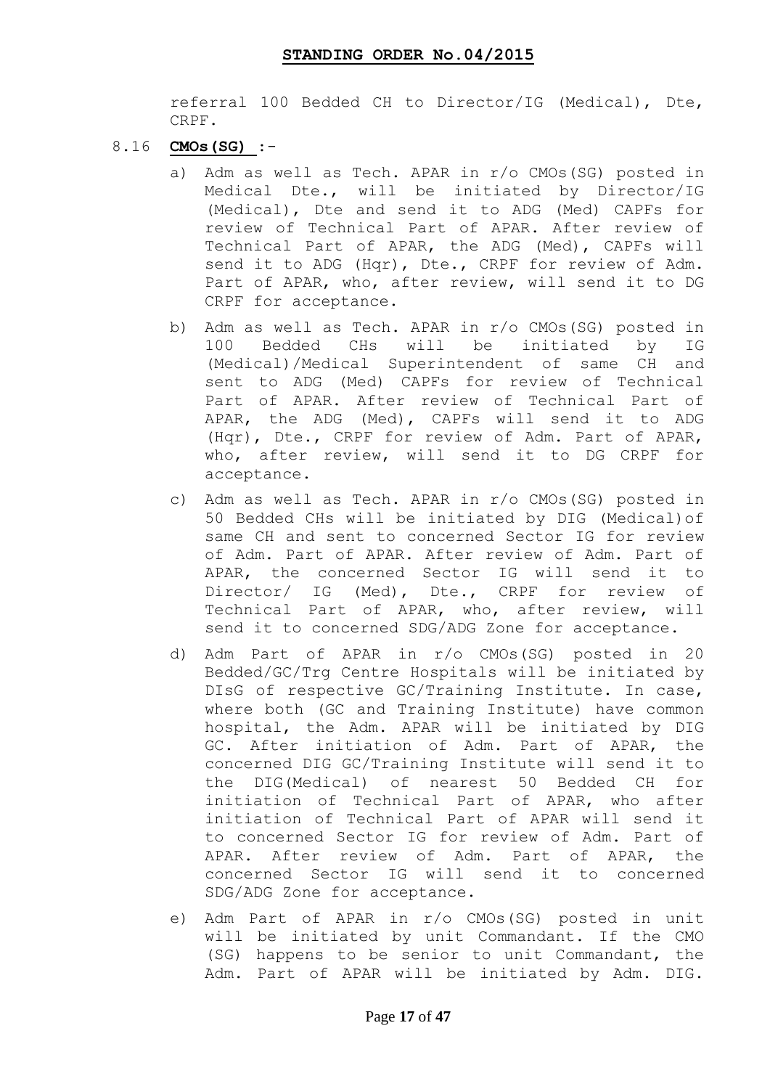referral 100 Bedded CH to Director/IG (Medical), Dte, CRPF.

- 8.16 **CMOs(SG)** :
	- a) Adm as well as Tech. APAR in r/o CMOs(SG) posted in Medical Dte., will be initiated by Director/IG (Medical), Dte and send it to ADG (Med) CAPFs for review of Technical Part of APAR. After review of Technical Part of APAR, the ADG (Med), CAPFs will send it to ADG (Hqr), Dte., CRPF for review of Adm. Part of APAR, who, after review, will send it to DG CRPF for acceptance.
	- b) Adm as well as Tech. APAR in r/o CMOs(SG) posted in 100 Bedded CHs will be initiated by IG (Medical)/Medical Superintendent of same CH and sent to ADG (Med) CAPFs for review of Technical Part of APAR. After review of Technical Part of APAR, the ADG (Med), CAPFs will send it to ADG (Hqr), Dte., CRPF for review of Adm. Part of APAR, who, after review, will send it to DG CRPF for acceptance.
	- c) Adm as well as Tech. APAR in r/o CMOs(SG) posted in 50 Bedded CHs will be initiated by DIG (Medical)of same CH and sent to concerned Sector IG for review of Adm. Part of APAR. After review of Adm. Part of APAR, the concerned Sector IG will send it to Director/ IG (Med), Dte., CRPF for review of Technical Part of APAR, who, after review, will send it to concerned SDG/ADG Zone for acceptance.
	- d) Adm Part of APAR in r/o CMOs(SG) posted in 20 Bedded/GC/Trg Centre Hospitals will be initiated by DIsG of respective GC/Training Institute. In case, where both (GC and Training Institute) have common hospital, the Adm. APAR will be initiated by DIG GC. After initiation of Adm. Part of APAR, the concerned DIG GC/Training Institute will send it to the DIG(Medical) of nearest 50 Bedded CH for initiation of Technical Part of APAR, who after initiation of Technical Part of APAR will send it to concerned Sector IG for review of Adm. Part of APAR. After review of Adm. Part of APAR, the concerned Sector IG will send it to concerned SDG/ADG Zone for acceptance.
	- e) Adm Part of APAR in r/o CMOs(SG) posted in unit will be initiated by unit Commandant. If the CMO (SG) happens to be senior to unit Commandant, the Adm. Part of APAR will be initiated by Adm. DIG.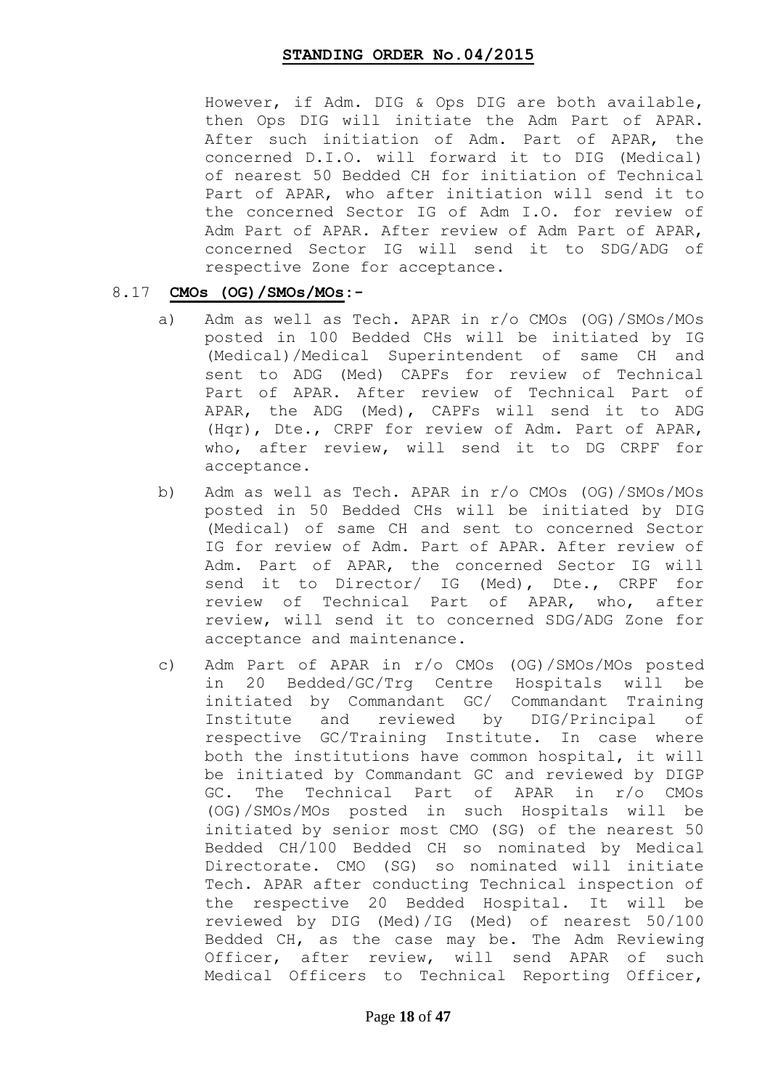However, if Adm. DIG & Ops DIG are both available, then Ops DIG will initiate the Adm Part of APAR. After such initiation of Adm. Part of APAR, the concerned D.I.O. will forward it to DIG (Medical) of nearest 50 Bedded CH for initiation of Technical Part of APAR, who after initiation will send it to the concerned Sector IG of Adm I.O. for review of Adm Part of APAR. After review of Adm Part of APAR, concerned Sector IG will send it to SDG/ADG of respective Zone for acceptance.

### 8.17 **CMOs (OG)/SMOs/MOs:-**

- a) Adm as well as Tech. APAR in r/o CMOs (OG)/SMOs/MOs posted in 100 Bedded CHs will be initiated by IG (Medical)/Medical Superintendent of same CH and sent to ADG (Med) CAPFs for review of Technical Part of APAR. After review of Technical Part of APAR, the ADG (Med), CAPFs will send it to ADG (Hqr), Dte., CRPF for review of Adm. Part of APAR, who, after review, will send it to DG CRPF for acceptance.
- b) Adm as well as Tech. APAR in r/o CMOs (OG)/SMOs/MOs posted in 50 Bedded CHs will be initiated by DIG (Medical) of same CH and sent to concerned Sector IG for review of Adm. Part of APAR. After review of Adm. Part of APAR, the concerned Sector IG will send it to Director/ IG (Med), Dte., CRPF for review of Technical Part of APAR, who, after review, will send it to concerned SDG/ADG Zone for acceptance and maintenance.
- c) Adm Part of APAR in r/o CMOs (OG)/SMOs/MOs posted in 20 Bedded/GC/Trg Centre Hospitals will be initiated by Commandant GC/ Commandant Training Institute and reviewed by DIG/Principal of respective GC/Training Institute. In case where both the institutions have common hospital, it will be initiated by Commandant GC and reviewed by DIGP GC. The Technical Part of APAR in r/o CMOs (OG)/SMOs/MOs posted in such Hospitals will be initiated by senior most CMO (SG) of the nearest 50 Bedded CH/100 Bedded CH so nominated by Medical Directorate. CMO (SG) so nominated will initiate Tech. APAR after conducting Technical inspection of the respective 20 Bedded Hospital. It will be reviewed by DIG (Med)/IG (Med) of nearest 50/100 Bedded CH, as the case may be. The Adm Reviewing Officer, after review, will send APAR of such Medical Officers to Technical Reporting Officer,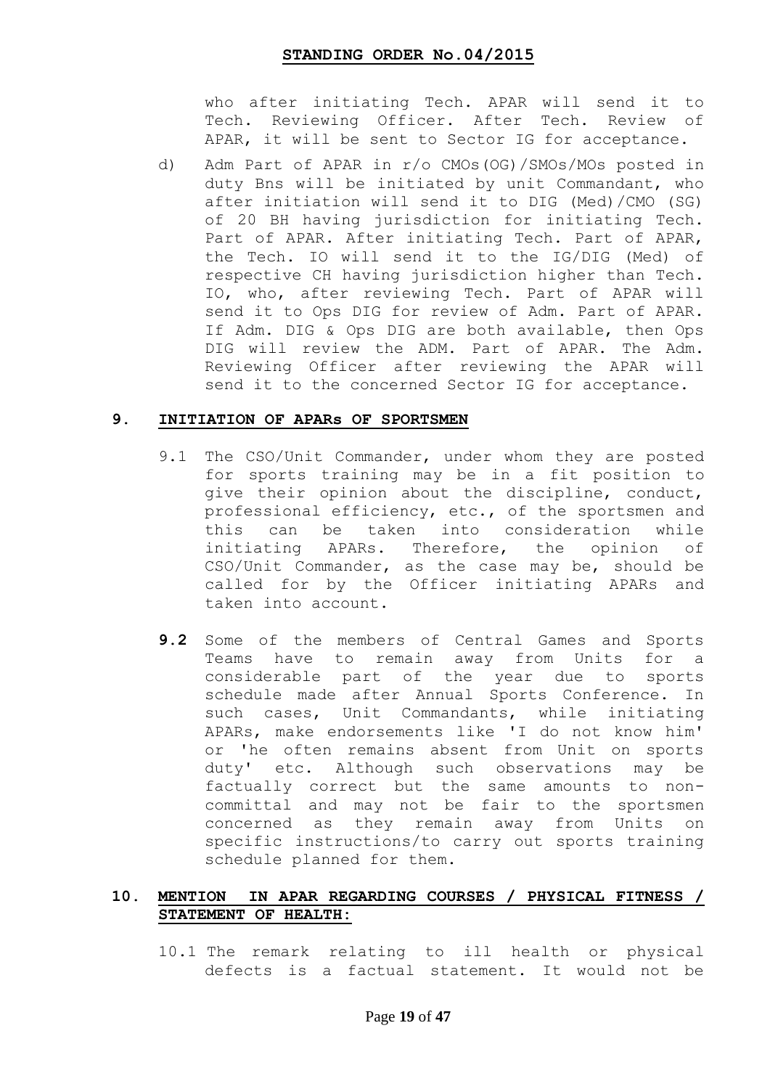who after initiating Tech. APAR will send it to Tech. Reviewing Officer. After Tech. Review of APAR, it will be sent to Sector IG for acceptance.

d) Adm Part of APAR in r/o CMOs(OG)/SMOs/MOs posted in duty Bns will be initiated by unit Commandant, who after initiation will send it to DIG (Med)/CMO (SG) of 20 BH having jurisdiction for initiating Tech. Part of APAR. After initiating Tech. Part of APAR, the Tech. IO will send it to the IG/DIG (Med) of respective CH having jurisdiction higher than Tech. IO, who, after reviewing Tech. Part of APAR will send it to Ops DIG for review of Adm. Part of APAR. If Adm. DIG & Ops DIG are both available, then Ops DIG will review the ADM. Part of APAR. The Adm. Reviewing Officer after reviewing the APAR will send it to the concerned Sector IG for acceptance.

### **9. INITIATION OF APARs OF SPORTSMEN**

- 9.1 The CSO/Unit Commander, under whom they are posted for sports training may be in a fit position to give their opinion about the discipline, conduct, professional efficiency, etc., of the sportsmen and this can be taken into consideration while initiating APARs. Therefore, the opinion of CSO/Unit Commander, as the case may be, should be called for by the Officer initiating APARs and taken into account.
- **9.2** Some of the members of Central Games and Sports Teams have to remain away from Units for a considerable part of the year due to sports schedule made after Annual Sports Conference. In such cases, Unit Commandants, while initiating APARs, make endorsements like 'I do not know him' or 'he often remains absent from Unit on sports duty' etc. Although such observations may be factually correct but the same amounts to noncommittal and may not be fair to the sportsmen concerned as they remain away from Units on specific instructions/to carry out sports training schedule planned for them.

### **10. MENTION IN APAR REGARDING COURSES / PHYSICAL FITNESS / STATEMENT OF HEALTH:**

10.1 The remark relating to ill health or physical defects is a factual statement. It would not be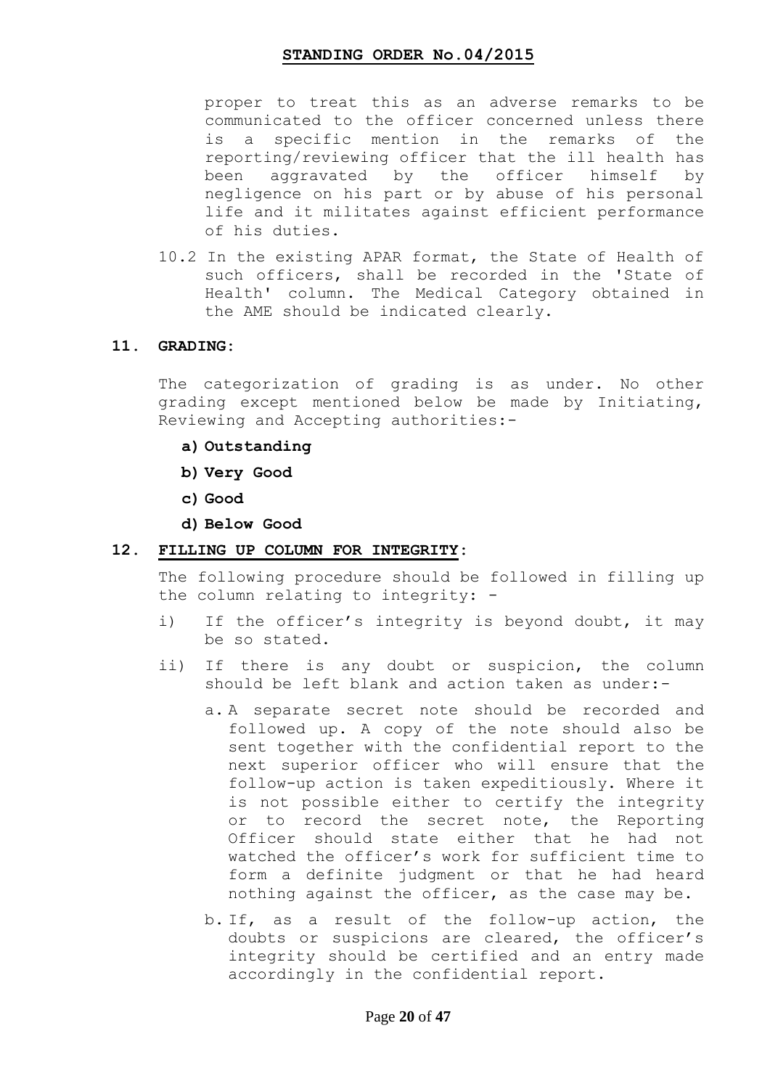proper to treat this as an adverse remarks to be communicated to the officer concerned unless there is a specific mention in the remarks of the reporting/reviewing officer that the ill health has been aggravated by the officer himself by negligence on his part or by abuse of his personal life and it militates against efficient performance of his duties.

10.2 In the existing APAR format, the State of Health of such officers, shall be recorded in the 'State of Health' column. The Medical Category obtained in the AME should be indicated clearly.

#### **11. GRADING:**

The categorization of grading is as under. No other grading except mentioned below be made by Initiating, Reviewing and Accepting authorities:-

- **a) Outstanding**
- **b) Very Good**
- **c) Good**
- **d) Below Good**

### **12. FILLING UP COLUMN FOR INTEGRITY:**

The following procedure should be followed in filling up the column relating to integrity: -

- i) If the officer's integrity is beyond doubt, it may be so stated.
- ii) If there is any doubt or suspicion, the column should be left blank and action taken as under:
	- a. A separate secret note should be recorded and followed up. A copy of the note should also be sent together with the confidential report to the next superior officer who will ensure that the follow-up action is taken expeditiously. Where it is not possible either to certify the integrity or to record the secret note, the Reporting Officer should state either that he had not watched the officer's work for sufficient time to form a definite judgment or that he had heard nothing against the officer, as the case may be.
	- b. If, as a result of the follow-up action, the doubts or suspicions are cleared, the officer's integrity should be certified and an entry made accordingly in the confidential report.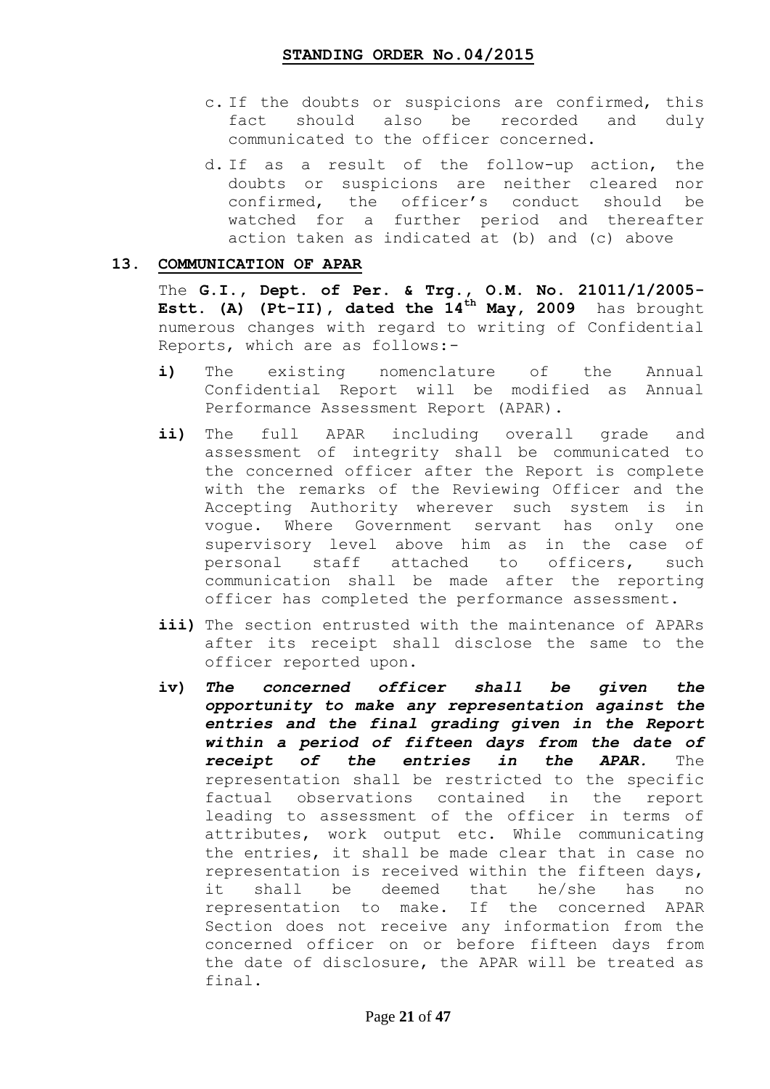- c. If the doubts or suspicions are confirmed, this fact should also be recorded and duly communicated to the officer concerned.
- d. If as a result of the follow-up action, the doubts or suspicions are neither cleared nor confirmed, the officer"s conduct should be watched for a further period and thereafter action taken as indicated at (b) and (c) above

### **13. COMMUNICATION OF APAR**

The **G.I., Dept. of Per. & Trg., O.M. No. 21011/1/2005- Estt. (A) (Pt-II), dated the 14th May, 2009** has brought numerous changes with regard to writing of Confidential Reports, which are as follows:-

- i) The existing nomenclature of the Annual Confidential Report will be modified as Annual Performance Assessment Report (APAR).
- **ii)** The full APAR including overall grade and assessment of integrity shall be communicated to the concerned officer after the Report is complete with the remarks of the Reviewing Officer and the Accepting Authority wherever such system is in vogue. Where Government servant has only one supervisory level above him as in the case of personal staff attached to officers, such communication shall be made after the reporting officer has completed the performance assessment.
- iii) The section entrusted with the maintenance of APARs after its receipt shall disclose the same to the officer reported upon.
- **iv)** *The concerned officer shall be given the opportunity to make any representation against the entries and the final grading given in the Report within a period of fifteen days from the date of receipt of the entries in the APAR.* The representation shall be restricted to the specific factual observations contained in the report leading to assessment of the officer in terms of attributes, work output etc. While communicating the entries, it shall be made clear that in case no representation is received within the fifteen days, it shall be deemed that he/she has no representation to make. If the concerned APAR Section does not receive any information from the concerned officer on or before fifteen days from the date of disclosure, the APAR will be treated as final.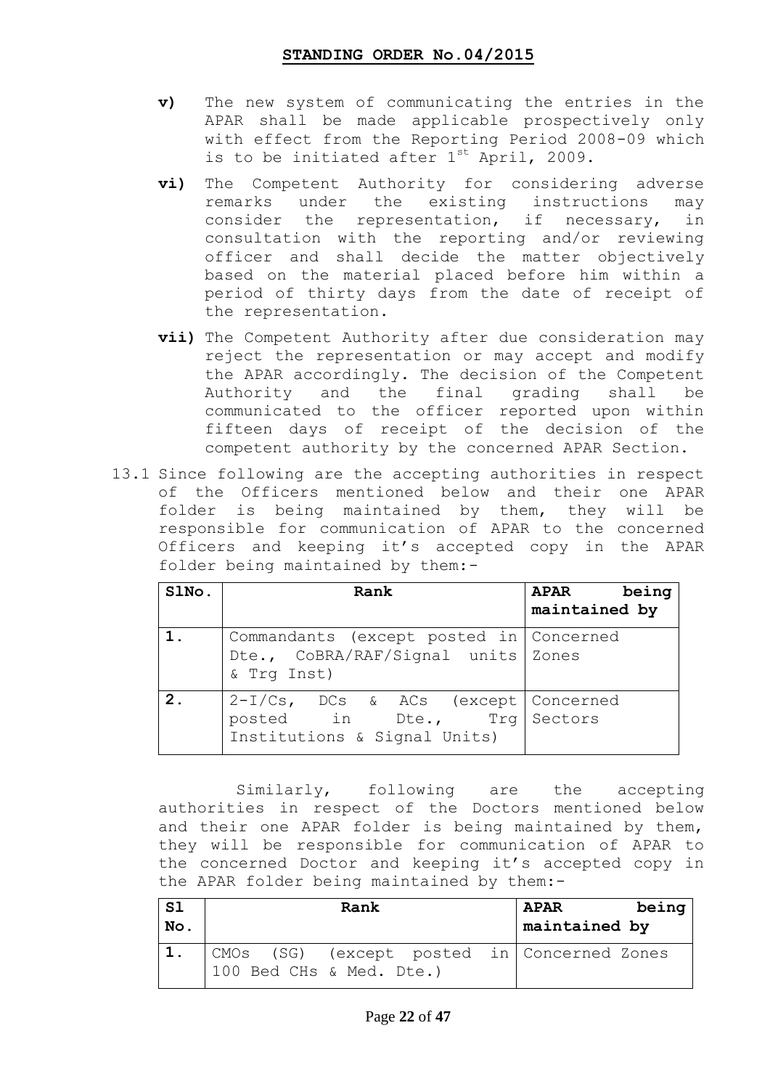- **v)** The new system of communicating the entries in the APAR shall be made applicable prospectively only with effect from the Reporting Period 2008-09 which is to be initiated after  $1^{st}$  April, 2009.
- **vi)** The Competent Authority for considering adverse remarks under the existing instructions may consider the representation, if necessary, in consultation with the reporting and/or reviewing officer and shall decide the matter objectively based on the material placed before him within a period of thirty days from the date of receipt of the representation.
- **vii)** The Competent Authority after due consideration may reject the representation or may accept and modify the APAR accordingly. The decision of the Competent Authority and the final grading shall be communicated to the officer reported upon within fifteen days of receipt of the decision of the competent authority by the concerned APAR Section.
- 13.1 Since following are the accepting authorities in respect of the Officers mentioned below and their one APAR folder is being maintained by them, they will be responsible for communication of APAR to the concerned Officers and keeping it"s accepted copy in the APAR folder being maintained by them:-

| SlNo. | Rank                                                                                                 | APAR being<br>maintained by |
|-------|------------------------------------------------------------------------------------------------------|-----------------------------|
|       | Commandants (except posted in Concerned<br>Dte., CoBRA/RAF/Signal units Zones<br>& Trq Inst)         |                             |
| 2.    | 2-I/Cs, DCs & ACs (except   Concerned<br>posted in Dte., Trg Sectors<br>Institutions & Signal Units) |                             |

 Similarly, following are the accepting authorities in respect of the Doctors mentioned below and their one APAR folder is being maintained by them, they will be responsible for communication of APAR to the concerned Doctor and keeping it's accepted copy in the APAR folder being maintained by them:-

| <b>S1</b><br>No. | Rank                                                                      | being<br><b>APAR</b><br>maintained by |
|------------------|---------------------------------------------------------------------------|---------------------------------------|
|                  | CMOs (SG) (except posted in   Concerned Zones<br>100 Bed CHs & Med. Dte.) |                                       |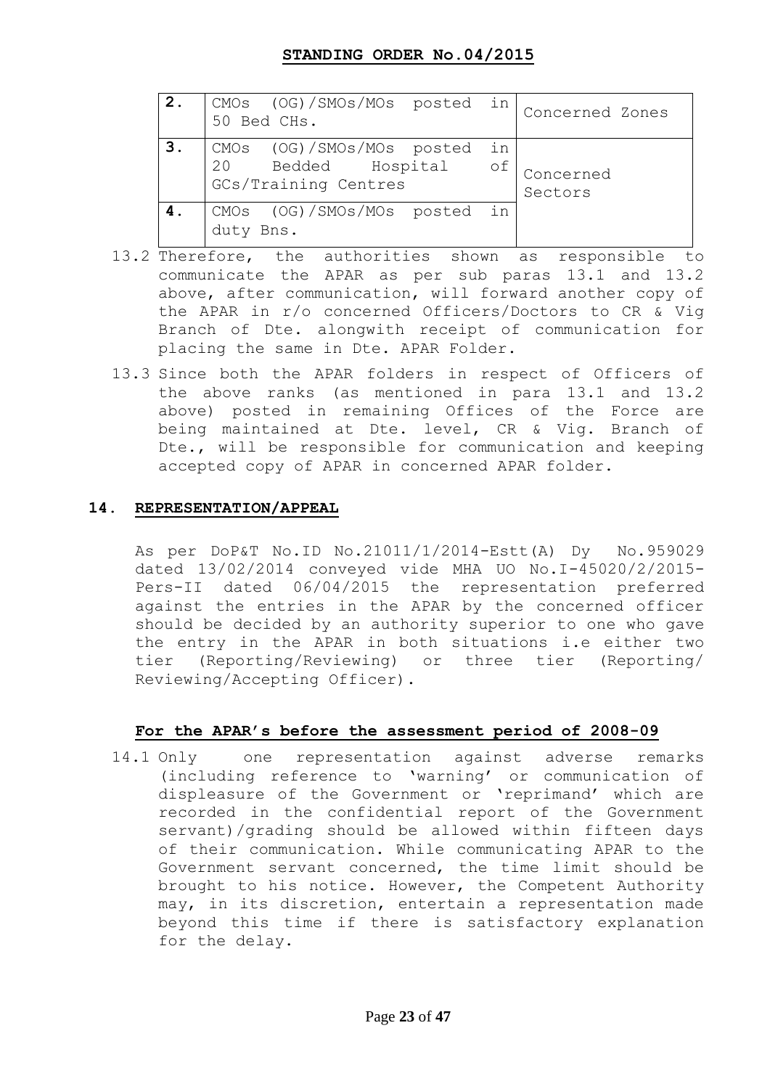| 2. | CMOs (OG)/SMOs/MOs posted in<br>50 Bed CHs.                             |          | Concerned Zones      |
|----|-------------------------------------------------------------------------|----------|----------------------|
| 3. | CMOs (OG)/SMOs/MOs posted<br>20 Bedded Hospital<br>GCs/Training Centres | in<br>of | Concerned<br>Sectors |
|    | CMOs (OG)/SMOs/MOs posted in<br>duty<br>Bns.                            |          |                      |

- 13.2 Therefore, the authorities shown as responsible to communicate the APAR as per sub paras 13.1 and 13.2 above, after communication, will forward another copy of the APAR in r/o concerned Officers/Doctors to CR & Vig Branch of Dte. alongwith receipt of communication for placing the same in Dte. APAR Folder.
- 13.3 Since both the APAR folders in respect of Officers of the above ranks (as mentioned in para 13.1 and 13.2 above) posted in remaining Offices of the Force are being maintained at Dte. level, CR & Vig. Branch of Dte., will be responsible for communication and keeping accepted copy of APAR in concerned APAR folder.

### **14. REPRESENTATION/APPEAL**

As per DoP&T No.ID No.21011/1/2014-Estt(A) Dy No.959029 dated 13/02/2014 conveyed vide MHA UO No.I-45020/2/2015- Pers-II dated 06/04/2015 the representation preferred against the entries in the APAR by the concerned officer should be decided by an authority superior to one who gave the entry in the APAR in both situations i.e either two tier (Reporting/Reviewing) or three tier (Reporting/ Reviewing/Accepting Officer).

### **For the APAR"s before the assessment period of 2008-09**

14.1 Onlyone representation against adverse remarks (including reference to "warning" or communication of displeasure of the Government or 'reprimand' which are recorded in the confidential report of the Government servant)/grading should be allowed within fifteen days of their communication. While communicating APAR to the Government servant concerned, the time limit should be brought to his notice. However, the Competent Authority may, in its discretion, entertain a representation made beyond this time if there is satisfactory explanation for the delay.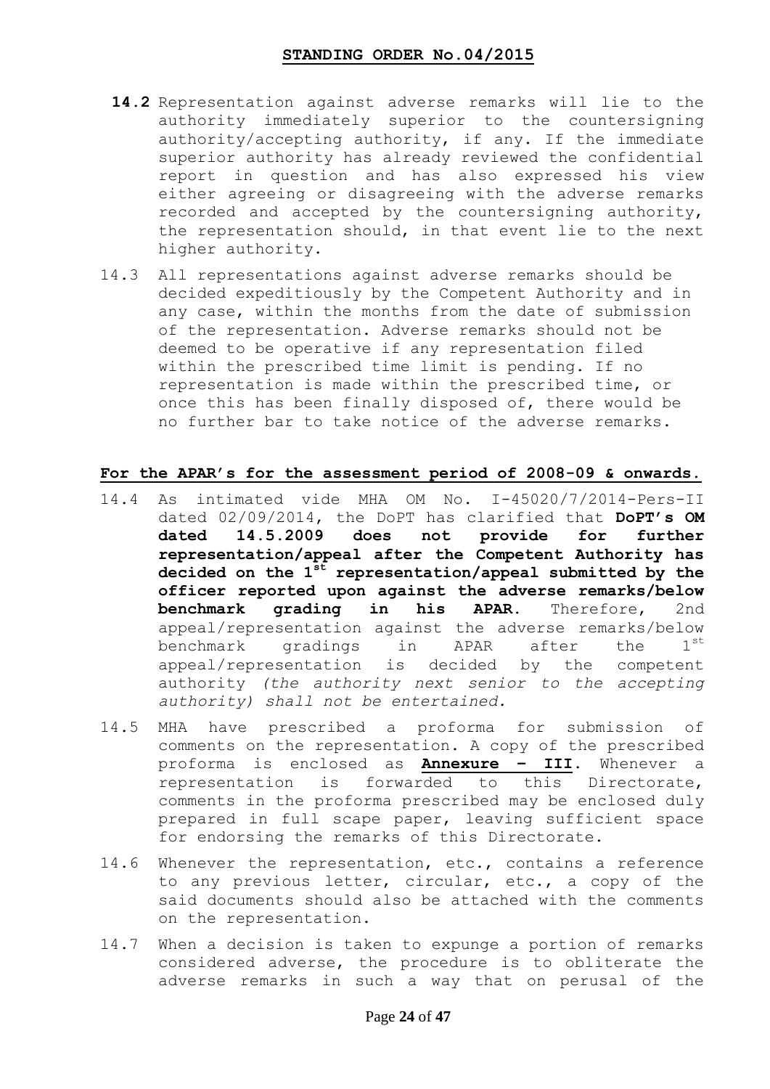- **14.2** Representation against adverse remarks will lie to the authority immediately superior to the countersigning authority/accepting authority, if any. If the immediate superior authority has already reviewed the confidential report in question and has also expressed his view either agreeing or disagreeing with the adverse remarks recorded and accepted by the countersigning authority, the representation should, in that event lie to the next higher authority.
- 14.3 All representations against adverse remarks should be decided expeditiously by the Competent Authority and in any case, within the months from the date of submission of the representation. Adverse remarks should not be deemed to be operative if any representation filed within the prescribed time limit is pending. If no representation is made within the prescribed time, or once this has been finally disposed of, there would be no further bar to take notice of the adverse remarks.

### **For the APAR"s for the assessment period of 2008-09 & onwards.**

- 14.4 As intimated vide MHA OM No. I-45020/7/2014-Pers-II dated 02/09/2014, the DoPT has clarified that **DoPT"s OM dated 14.5.2009 does not provide for further representation/appeal after the Competent Authority has decided on the 1st representation/appeal submitted by the officer reported upon against the adverse remarks/below benchmark grading in his APAR.** Therefore, 2nd appeal/representation against the adverse remarks/below benchmark gradings in APAR after the 1<sup>st</sup> appeal/representation is decided by the competent authority *(the authority next senior to the accepting authority) shall not be entertained.*
- 14.5 MHA have prescribed a proforma for submission of comments on the representation. A copy of the prescribed proforma is enclosed as **Annexure – III**. Whenever a representation is forwarded to this Directorate, comments in the proforma prescribed may be enclosed duly prepared in full scape paper, leaving sufficient space for endorsing the remarks of this Directorate.
- 14.6 Whenever the representation, etc., contains a reference to any previous letter, circular, etc., a copy of the said documents should also be attached with the comments on the representation.
- 14.7 When a decision is taken to expunge a portion of remarks considered adverse, the procedure is to obliterate the adverse remarks in such a way that on perusal of the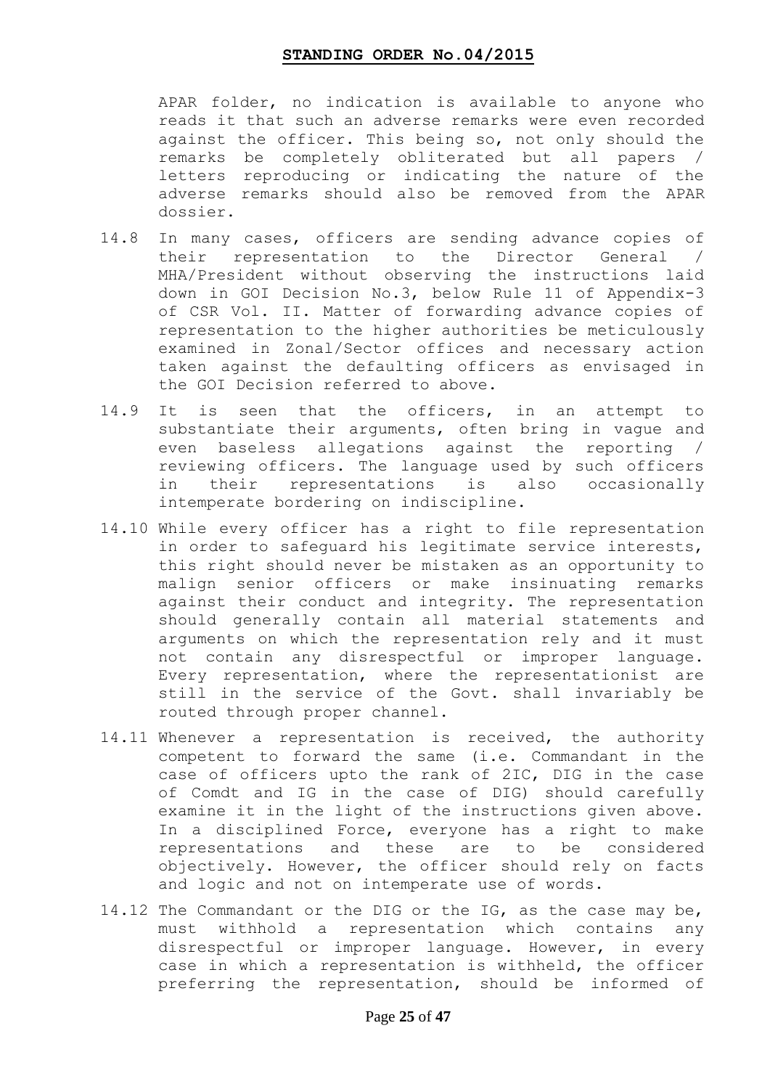APAR folder, no indication is available to anyone who reads it that such an adverse remarks were even recorded against the officer. This being so, not only should the remarks be completely obliterated but all papers / letters reproducing or indicating the nature of the adverse remarks should also be removed from the APAR dossier.

- 14.8 In many cases, officers are sending advance copies of their representation to the Director General / MHA/President without observing the instructions laid down in GOI Decision No.3, below Rule 11 of Appendix-3 of CSR Vol. II. Matter of forwarding advance copies of representation to the higher authorities be meticulously examined in Zonal/Sector offices and necessary action taken against the defaulting officers as envisaged in the GOI Decision referred to above.
- 14.9 It is seen that the officers, in an attempt to substantiate their arguments, often bring in vague and even baseless allegations against the reporting / reviewing officers. The language used by such officers in their representations is also occasionally intemperate bordering on indiscipline.
- 14.10 While every officer has a right to file representation in order to safeguard his legitimate service interests, this right should never be mistaken as an opportunity to malign senior officers or make insinuating remarks against their conduct and integrity. The representation should generally contain all material statements and arguments on which the representation rely and it must not contain any disrespectful or improper language. Every representation, where the representationist are still in the service of the Govt. shall invariably be routed through proper channel.
- 14.11 Whenever a representation is received, the authority competent to forward the same (i.e. Commandant in the case of officers upto the rank of 2IC, DIG in the case of Comdt and IG in the case of DIG) should carefully examine it in the light of the instructions given above. In a disciplined Force, everyone has a right to make representations and these are to be considered objectively. However, the officer should rely on facts and logic and not on intemperate use of words.
- 14.12 The Commandant or the DIG or the IG, as the case may be, must withhold a representation which contains any disrespectful or improper language. However, in every case in which a representation is withheld, the officer preferring the representation, should be informed of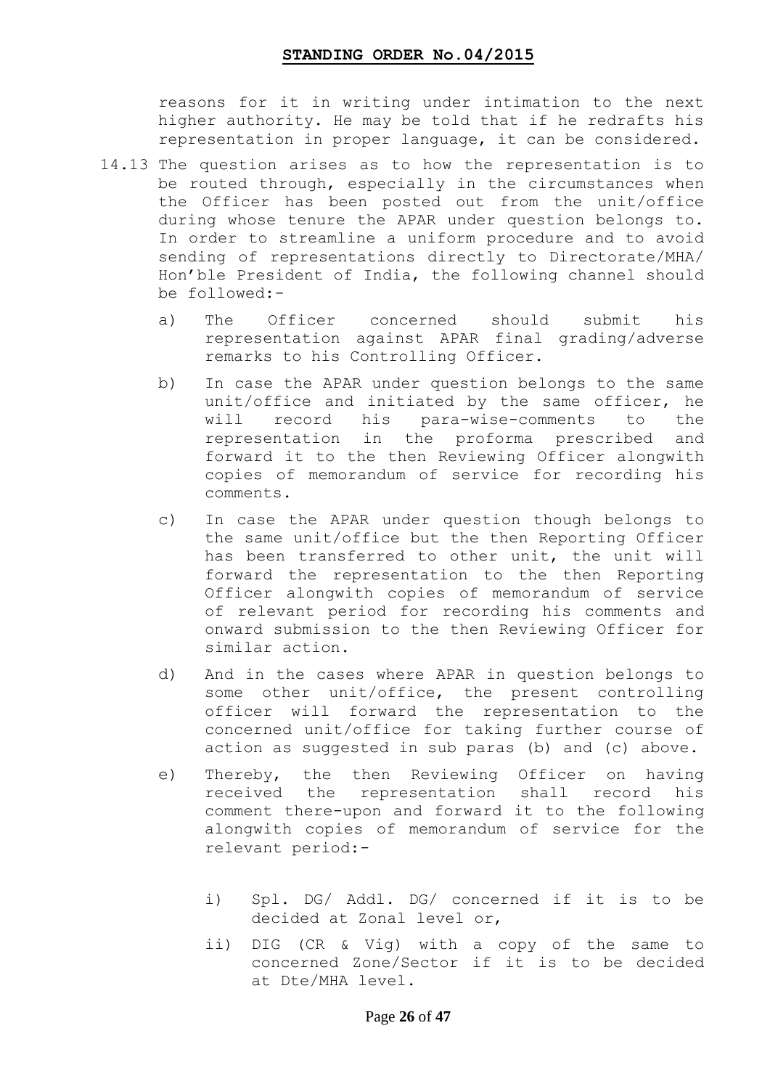reasons for it in writing under intimation to the next higher authority. He may be told that if he redrafts his representation in proper language, it can be considered.

- 14.13 The question arises as to how the representation is to be routed through, especially in the circumstances when the Officer has been posted out from the unit/office during whose tenure the APAR under question belongs to. In order to streamline a uniform procedure and to avoid sending of representations directly to Directorate/MHA/ Hon"ble President of India, the following channel should be followed:
	- a) The Officer concerned should submit his representation against APAR final grading/adverse remarks to his Controlling Officer.
	- b) In case the APAR under question belongs to the same unit/office and initiated by the same officer, he will record his para-wise-comments to the representation in the proforma prescribed and forward it to the then Reviewing Officer alongwith copies of memorandum of service for recording his comments.
	- c) In case the APAR under question though belongs to the same unit/office but the then Reporting Officer has been transferred to other unit, the unit will forward the representation to the then Reporting Officer alongwith copies of memorandum of service of relevant period for recording his comments and onward submission to the then Reviewing Officer for similar action.
	- d) And in the cases where APAR in question belongs to some other unit/office, the present controlling officer will forward the representation to the concerned unit/office for taking further course of action as suggested in sub paras (b) and (c) above.
	- e) Thereby, the then Reviewing Officer on having received the representation shall record his comment there-upon and forward it to the following alongwith copies of memorandum of service for the relevant period:
		- i) Spl. DG/ Addl. DG/ concerned if it is to be decided at Zonal level or,
		- ii) DIG (CR & Vig) with a copy of the same to concerned Zone/Sector if it is to be decided at Dte/MHA level.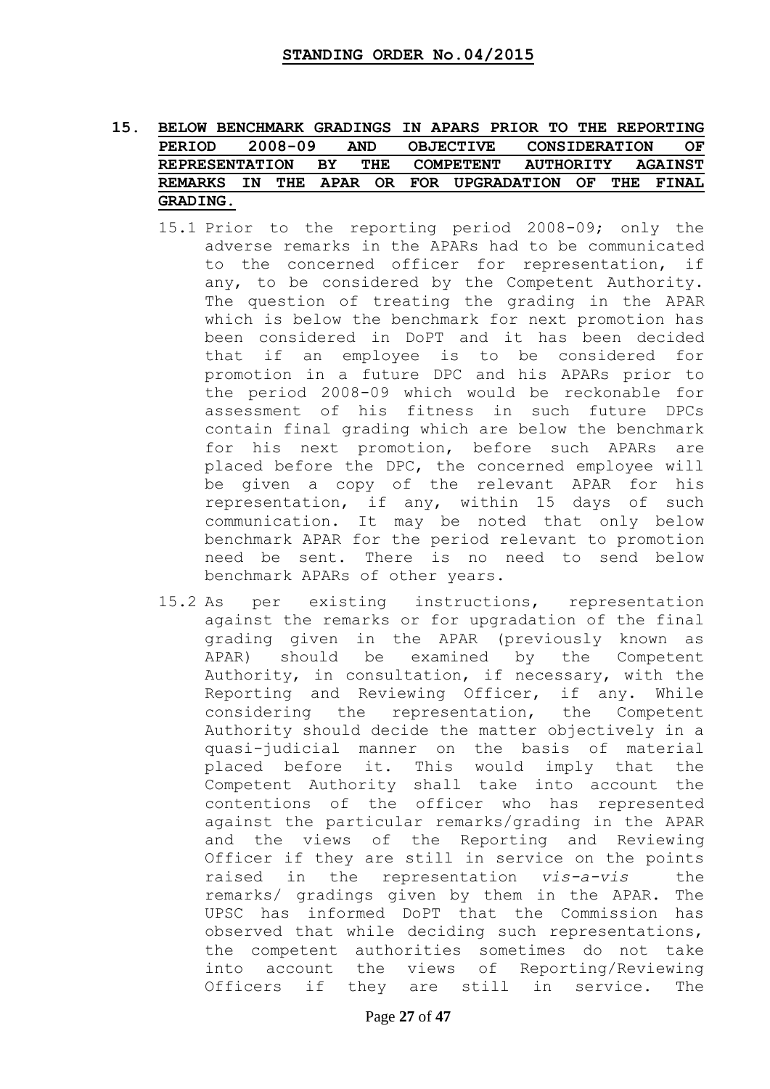### **15. BELOW BENCHMARK GRADINGS IN APARS PRIOR TO THE REPORTING PERIOD 2008-09 AND OBJECTIVE CONSIDERATION OF REPRESENTATION BY THE COMPETENT AUTHORITY AGAINST REMARKS IN THE APAR OR FOR UPGRADATION OF THE FINAL GRADING.**

- 15.1 Prior to the reporting period 2008-09; only the adverse remarks in the APARs had to be communicated to the concerned officer for representation, if any, to be considered by the Competent Authority. The question of treating the grading in the APAR which is below the benchmark for next promotion has been considered in DoPT and it has been decided that if an employee is to be considered for promotion in a future DPC and his APARs prior to the period 2008-09 which would be reckonable for assessment of his fitness in such future DPCs contain final grading which are below the benchmark for his next promotion, before such APARs are placed before the DPC, the concerned employee will be given a copy of the relevant APAR for his representation, if any, within 15 days of such communication. It may be noted that only below benchmark APAR for the period relevant to promotion need be sent. There is no need to send below benchmark APARs of other years.
- 15.2 As per existing instructions, representation against the remarks or for upgradation of the final grading given in the APAR (previously known as APAR) should be examined by the Competent Authority, in consultation, if necessary, with the Reporting and Reviewing Officer, if any. While considering the representation, the Competent Authority should decide the matter objectively in a quasi-judicial manner on the basis of material placed before it. This would imply that the Competent Authority shall take into account the contentions of the officer who has represented against the particular remarks/grading in the APAR and the views of the Reporting and Reviewing Officer if they are still in service on the points raised in the representation *vis-a-vis* the remarks/ gradings given by them in the APAR. The UPSC has informed DoPT that the Commission has observed that while deciding such representations, the competent authorities sometimes do not take into account the views of Reporting/Reviewing Officers if they are still in service. The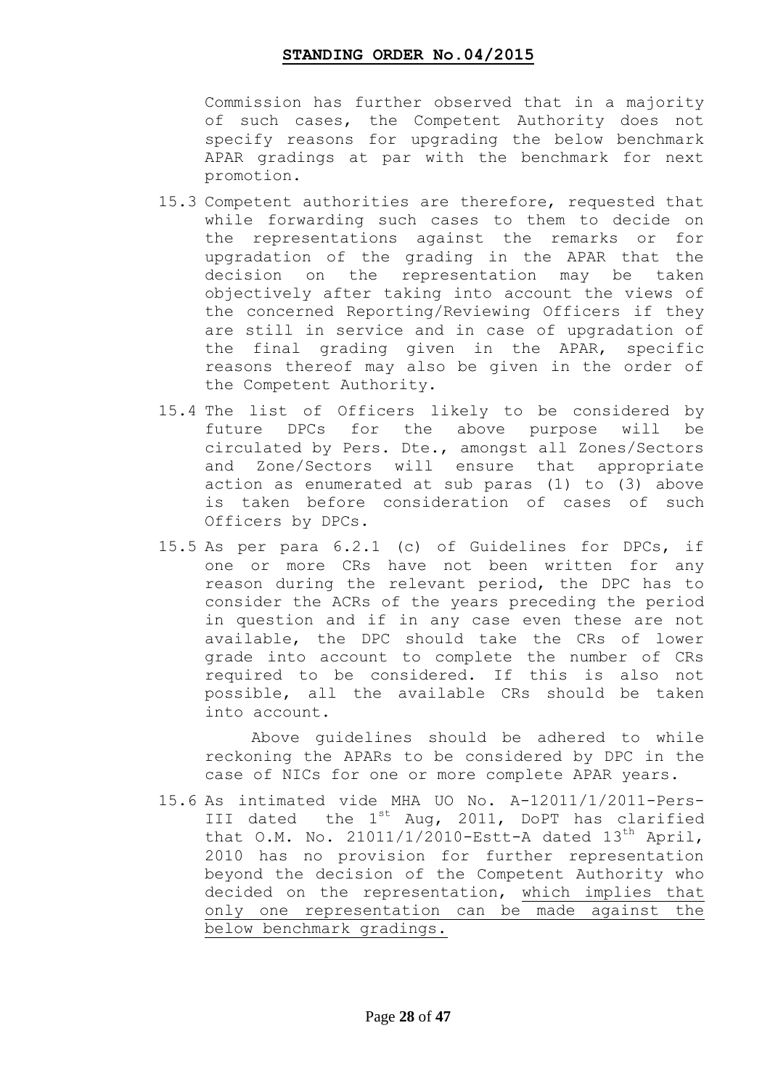Commission has further observed that in a majority of such cases, the Competent Authority does not specify reasons for upgrading the below benchmark APAR gradings at par with the benchmark for next promotion.

- 15.3 Competent authorities are therefore, requested that while forwarding such cases to them to decide on the representations against the remarks or for upgradation of the grading in the APAR that the decision on the representation may be taken objectively after taking into account the views of the concerned Reporting/Reviewing Officers if they are still in service and in case of upgradation of the final grading given in the APAR, specific reasons thereof may also be given in the order of the Competent Authority.
- 15.4 The list of Officers likely to be considered by future DPCs for the above purpose will be circulated by Pers. Dte., amongst all Zones/Sectors and Zone/Sectors will ensure that appropriate action as enumerated at sub paras (1) to (3) above is taken before consideration of cases of such Officers by DPCs.
- 15.5 As per para 6.2.1 (c) of Guidelines for DPCs, if one or more CRs have not been written for any reason during the relevant period, the DPC has to consider the ACRs of the years preceding the period in question and if in any case even these are not available, the DPC should take the CRs of lower grade into account to complete the number of CRs required to be considered. If this is also not possible, all the available CRs should be taken into account.

 Above guidelines should be adhered to while reckoning the APARs to be considered by DPC in the case of NICs for one or more complete APAR years.

15.6 As intimated vide MHA UO No. A-12011/1/2011-Pers-III dated the  $1^{st}$  Aug, 2011, DoPT has clarified that O.M. No.  $21011/1/2010$ -Estt-A dated  $13<sup>th</sup>$  April, 2010 has no provision for further representation beyond the decision of the Competent Authority who decided on the representation, which implies that only one representation can be made against the below benchmark gradings.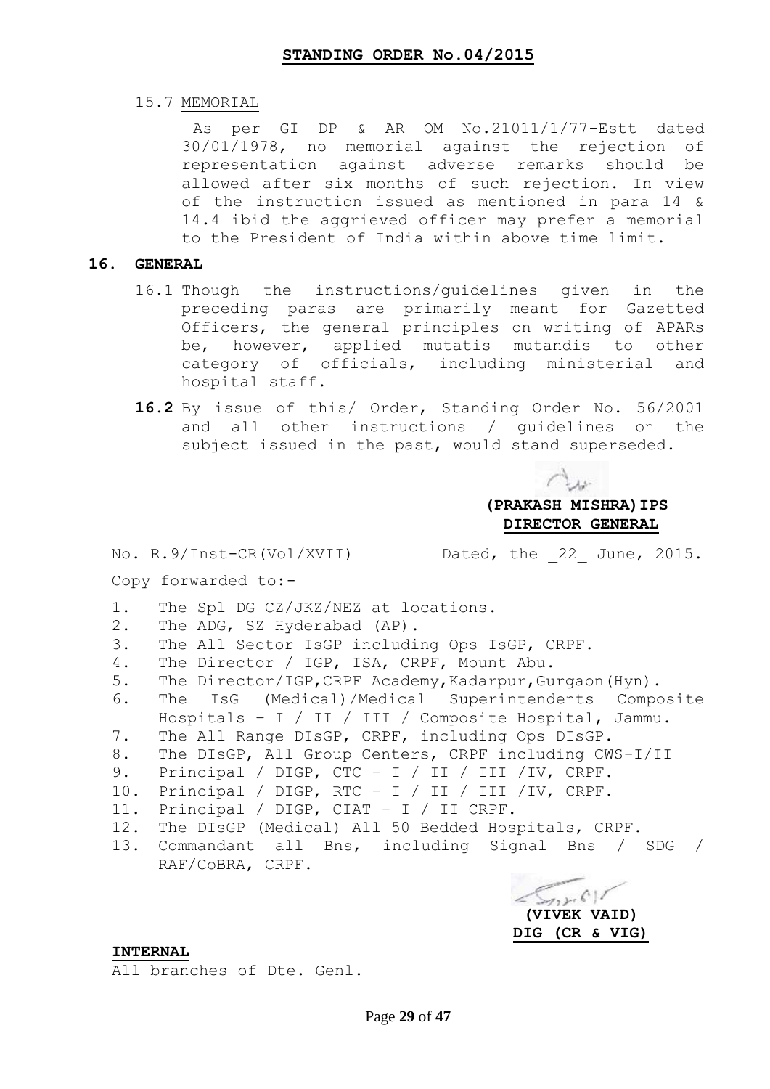15.7 MEMORIAL

As per GI DP & AR OM No.21011/1/77-Estt dated 30/01/1978, no memorial against the rejection of representation against adverse remarks should be allowed after six months of such rejection. In view of the instruction issued as mentioned in para 14 & 14.4 ibid the aggrieved officer may prefer a memorial to the President of India within above time limit.

#### **16. GENERAL**

- 16.1 Though the instructions/guidelines given in the preceding paras are primarily meant for Gazetted Officers, the general principles on writing of APARs be, however, applied mutatis mutandis to other category of officials, including ministerial and hospital staff.
- **16.2** By issue of this/ Order, Standing Order No. 56/2001 and all other instructions / guidelines on the subject issued in the past, would stand superseded.

**(PRAKASH MISHRA)IPS DIRECTOR GENERAL**

No. R.9/Inst-CR(Vol/XVII) Dated, the 22 June, 2015.

#### Copy forwarded to:-

- 1. The Spl DG CZ/JKZ/NEZ at locations.
- 2. The ADG, SZ Hyderabad (AP).
- 3. The All Sector IsGP including Ops IsGP, CRPF.
- 4. The Director / IGP, ISA, CRPF, Mount Abu.
- 5. The Director/IGP,CRPF Academy,Kadarpur,Gurgaon(Hyn).
- 6. The IsG (Medical)/Medical Superintendents Composite Hospitals – I / II / III / Composite Hospital, Jammu.
- 7. The All Range DIsGP, CRPF, including Ops DIsGP.
- 8. The DIsGP, All Group Centers, CRPF including CWS-I/II
- 9. Principal / DIGP, CTC I / II / III /IV, CRPF.
- 10. Principal / DIGP, RTC I / II / III /IV, CRPF.
- 11. Principal / DIGP, CIAT I / II CRPF.
- 12. The DIsGP (Medical) All 50 Bedded Hospitals, CRPF.
- 13. Commandant all Bns, including Signal Bns / SDG / RAF/CoBRA, CRPF.

 $\sqrt{2\pi}$  **(VIVEK VAID) DIG (CR & VIG)**

#### **INTERNAL**

All branches of Dte. Genl.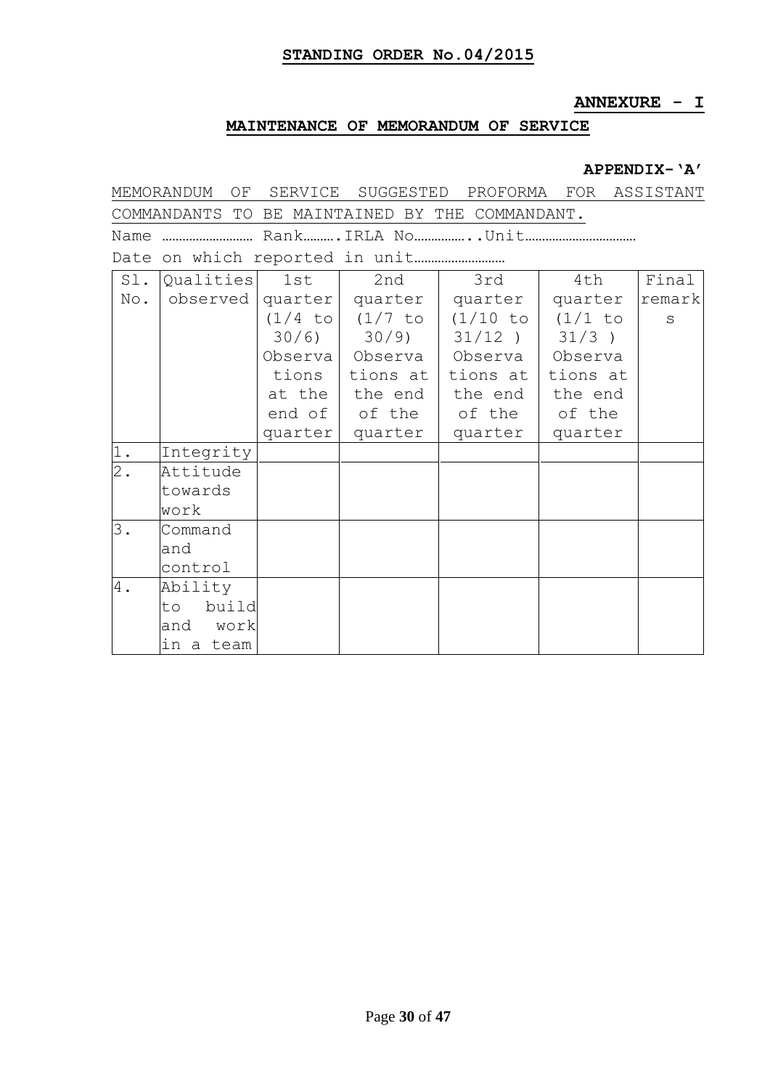## **ANNEXURE - I**

## **MAINTENANCE OF MEMORANDUM OF SERVICE**

### **APPENDIX-"A"**

| MEMORANDUM<br>SERVICE SUGGESTED<br>PROFORMA FOR ASSISTANT<br>ΟF |             |         |                             |                                                        |           |        |  |  |  |  |
|-----------------------------------------------------------------|-------------|---------|-----------------------------|--------------------------------------------------------|-----------|--------|--|--|--|--|
| COMMANDANTS TO BE MAINTAINED BY THE COMMANDANT.                 |             |         |                             |                                                        |           |        |  |  |  |  |
| Name                                                            |             |         |                             |                                                        |           |        |  |  |  |  |
|                                                                 |             |         |                             |                                                        |           |        |  |  |  |  |
| Sl.                                                             | Qualities   | 1st     | 2nd                         | 3rd                                                    | 4th       | Final  |  |  |  |  |
| No.                                                             | observed    |         | quarter   quarter   quarter |                                                        | quarter   | remark |  |  |  |  |
|                                                                 |             |         |                             | $(1/4 \text{ to } 1/7 \text{ to } 1/10 \text{ to } 1)$ | $(1/1$ to | S      |  |  |  |  |
|                                                                 |             | 30/6)   |                             | 30/9)   31/12)                                         | $31/3$ )  |        |  |  |  |  |
|                                                                 |             |         |                             | Observa   Observa   Observa                            | Observa   |        |  |  |  |  |
|                                                                 |             | tions   | tions at                    | tions at                                               | tions at  |        |  |  |  |  |
|                                                                 |             |         | at the   the end            | the end                                                | the end   |        |  |  |  |  |
|                                                                 |             |         | end of of the               | of the                                                 | of the    |        |  |  |  |  |
|                                                                 |             | quarter | quarter                     | quarter                                                | quarter   |        |  |  |  |  |
| 1.                                                              | Integrity   |         |                             |                                                        |           |        |  |  |  |  |
| $\overline{2}$ .                                                | Attitude    |         |                             |                                                        |           |        |  |  |  |  |
|                                                                 | towards     |         |                             |                                                        |           |        |  |  |  |  |
|                                                                 | work        |         |                             |                                                        |           |        |  |  |  |  |
| 3.                                                              | Command     |         |                             |                                                        |           |        |  |  |  |  |
|                                                                 | and         |         |                             |                                                        |           |        |  |  |  |  |
|                                                                 | control     |         |                             |                                                        |           |        |  |  |  |  |
| 4.                                                              | Ability     |         |                             |                                                        |           |        |  |  |  |  |
|                                                                 | build<br>to |         |                             |                                                        |           |        |  |  |  |  |
|                                                                 | and<br>work |         |                             |                                                        |           |        |  |  |  |  |
|                                                                 | in a team   |         |                             |                                                        |           |        |  |  |  |  |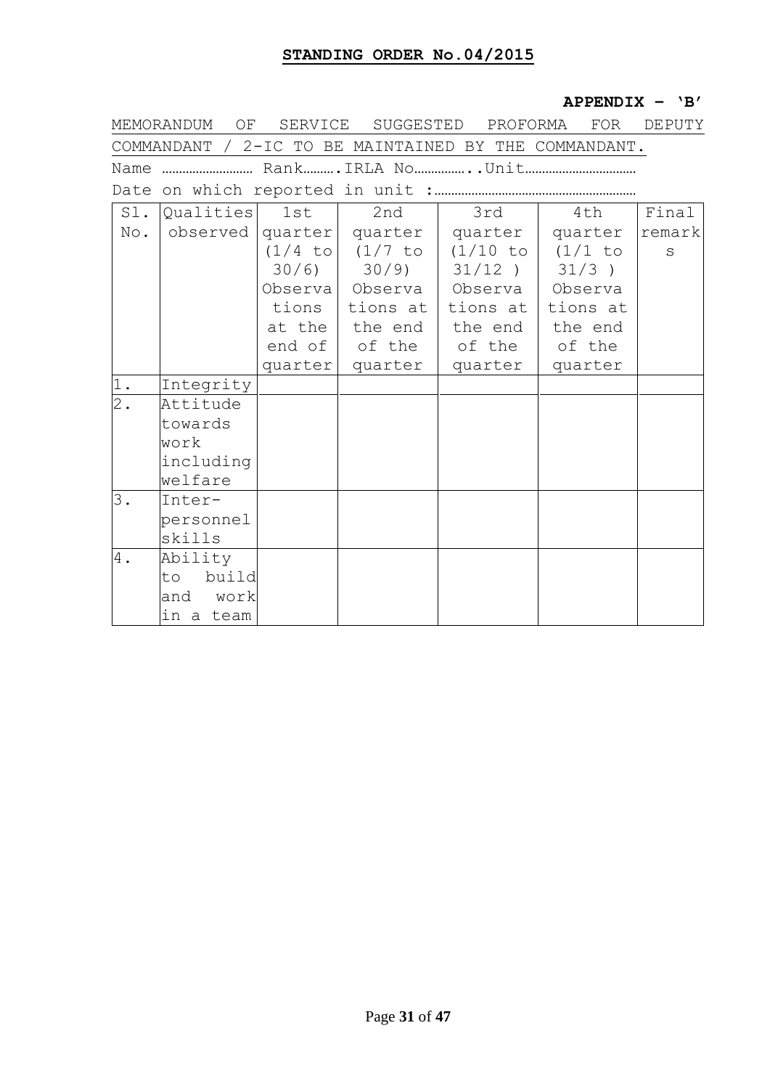### **APPENDIX – "B"**

| MEMORANDUM<br>ΟF<br>SERVICE<br>SUGGESTED<br>PROFORMA<br><b>FOR</b><br>DEPUTY |                                                       |         |                 |           |           |        |  |  |  |  |
|------------------------------------------------------------------------------|-------------------------------------------------------|---------|-----------------|-----------|-----------|--------|--|--|--|--|
|                                                                              | COMMANDANT / 2-IC TO BE MAINTAINED BY THE COMMANDANT. |         |                 |           |           |        |  |  |  |  |
| Name  RankIRLA No . Unit                                                     |                                                       |         |                 |           |           |        |  |  |  |  |
|                                                                              |                                                       |         |                 |           |           |        |  |  |  |  |
| $S1$ .                                                                       | Qualities                                             | 1st     | 2nd             | 3rd       | 4th       | Final  |  |  |  |  |
| No.                                                                          | observed                                              |         | quarter quarter | quarter   | quarter   | remark |  |  |  |  |
|                                                                              |                                                       | (1/4 to | $(1/7$ to       | (1/10 to  | $(1/1$ to | S      |  |  |  |  |
|                                                                              |                                                       | 30/6)   | $30/9$ )        | $31/12$ ) | $31/3$ )  |        |  |  |  |  |
|                                                                              |                                                       |         | Observa Observa | Observa   | Observa   |        |  |  |  |  |
|                                                                              |                                                       | tions   | tions at        | tions at  | tions at  |        |  |  |  |  |
|                                                                              |                                                       |         | at the the end  | the end   | the end   |        |  |  |  |  |
|                                                                              |                                                       | end of  | of the          | of the    | of the    |        |  |  |  |  |
|                                                                              |                                                       | quarter | quarter         | quarter   | quarter   |        |  |  |  |  |
| 1.                                                                           | Integrity                                             |         |                 |           |           |        |  |  |  |  |
| $2$ .                                                                        | Attitude                                              |         |                 |           |           |        |  |  |  |  |
|                                                                              | towards                                               |         |                 |           |           |        |  |  |  |  |
|                                                                              | work                                                  |         |                 |           |           |        |  |  |  |  |
|                                                                              | including                                             |         |                 |           |           |        |  |  |  |  |
|                                                                              | welfare                                               |         |                 |           |           |        |  |  |  |  |
| 3.                                                                           | Inter-                                                |         |                 |           |           |        |  |  |  |  |
|                                                                              | personnel                                             |         |                 |           |           |        |  |  |  |  |
|                                                                              | skills                                                |         |                 |           |           |        |  |  |  |  |
| 4.                                                                           | Ability                                               |         |                 |           |           |        |  |  |  |  |
|                                                                              | build<br>to                                           |         |                 |           |           |        |  |  |  |  |
|                                                                              | and<br>work                                           |         |                 |           |           |        |  |  |  |  |
|                                                                              | in a team                                             |         |                 |           |           |        |  |  |  |  |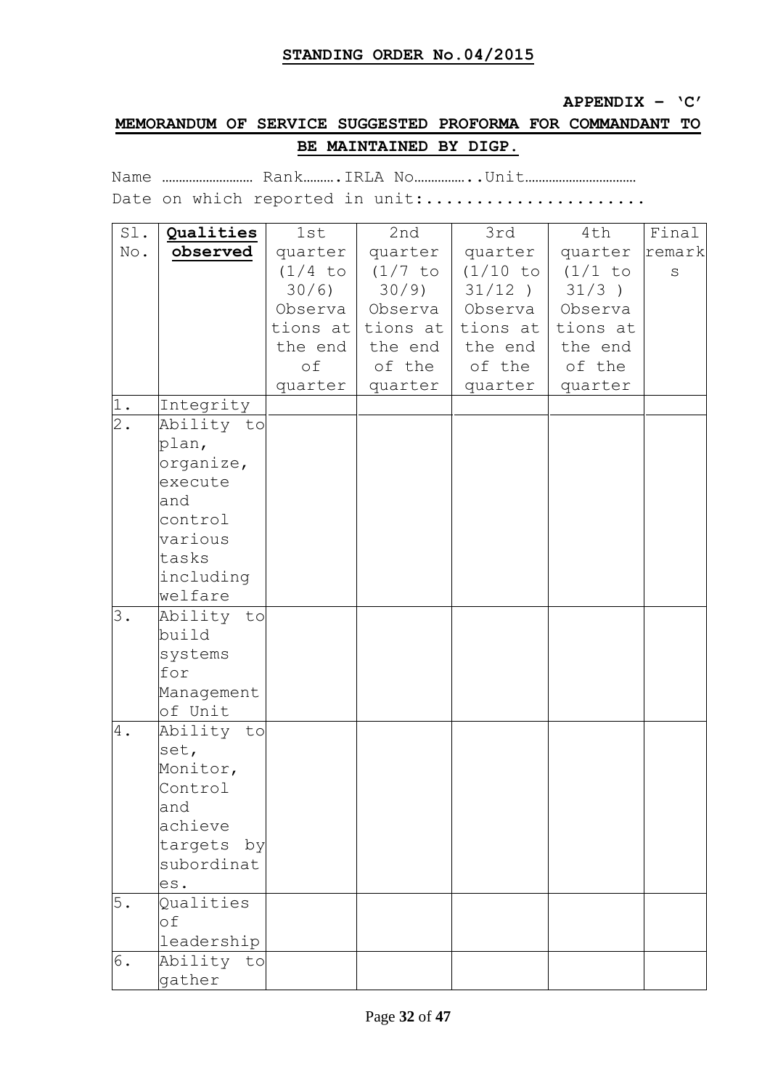#### **APPENDIX – "C"**

## **MEMORANDUM OF SERVICE SUGGESTED PROFORMA FOR COMMANDANT TO BE MAINTAINED BY DIGP.**

Name ……………………… Rank……….IRLA No……………..Unit……………………………

Date on which reported in unit:.....................

| Sl.   | Qualities     | 1st       | 2nd       | 3rd       | 4th      | Final   |
|-------|---------------|-----------|-----------|-----------|----------|---------|
| No.   | observed      | quarter   | quarter   | quarter   | quarter  | remark  |
|       |               | $(1/4$ to | $(1/7$ to | (1/10 to  | (1/1 to  | $\rm S$ |
|       |               | 30/6)     | 30/9)     | $31/12$ ) | $31/3$ ) |         |
|       |               | Observa   | Observa   | Observa   | Observa  |         |
|       |               | tions at  | tions at  | tions at  | tions at |         |
|       |               | the end   | the end   | the end   | the end  |         |
|       |               | оf        | of the    | of the    | of the   |         |
|       |               | quarter   | quarter   | quarter   | quarter  |         |
| 1.    | Integrity     |           |           |           |          |         |
| $2$ . | Ability to    |           |           |           |          |         |
|       | plan,         |           |           |           |          |         |
|       | organize,     |           |           |           |          |         |
|       | execute       |           |           |           |          |         |
|       | and           |           |           |           |          |         |
|       | control       |           |           |           |          |         |
|       | various       |           |           |           |          |         |
|       | tasks         |           |           |           |          |         |
|       | including     |           |           |           |          |         |
|       | welfare       |           |           |           |          |         |
| 3.    | Ability to    |           |           |           |          |         |
|       | build         |           |           |           |          |         |
|       | systems       |           |           |           |          |         |
|       | for           |           |           |           |          |         |
|       | Management    |           |           |           |          |         |
|       | of Unit       |           |           |           |          |         |
| 4.    | Ability to    |           |           |           |          |         |
|       | set,          |           |           |           |          |         |
|       | Monitor,      |           |           |           |          |         |
|       | Control       |           |           |           |          |         |
|       | and           |           |           |           |          |         |
|       | achieve       |           |           |           |          |         |
|       | targets<br>by |           |           |           |          |         |
|       | subordinat    |           |           |           |          |         |
|       | es.           |           |           |           |          |         |
| 5.    | Qualities     |           |           |           |          |         |
|       | of            |           |           |           |          |         |
|       | leadership    |           |           |           |          |         |
| 6.    | Ability to    |           |           |           |          |         |
|       | gather        |           |           |           |          |         |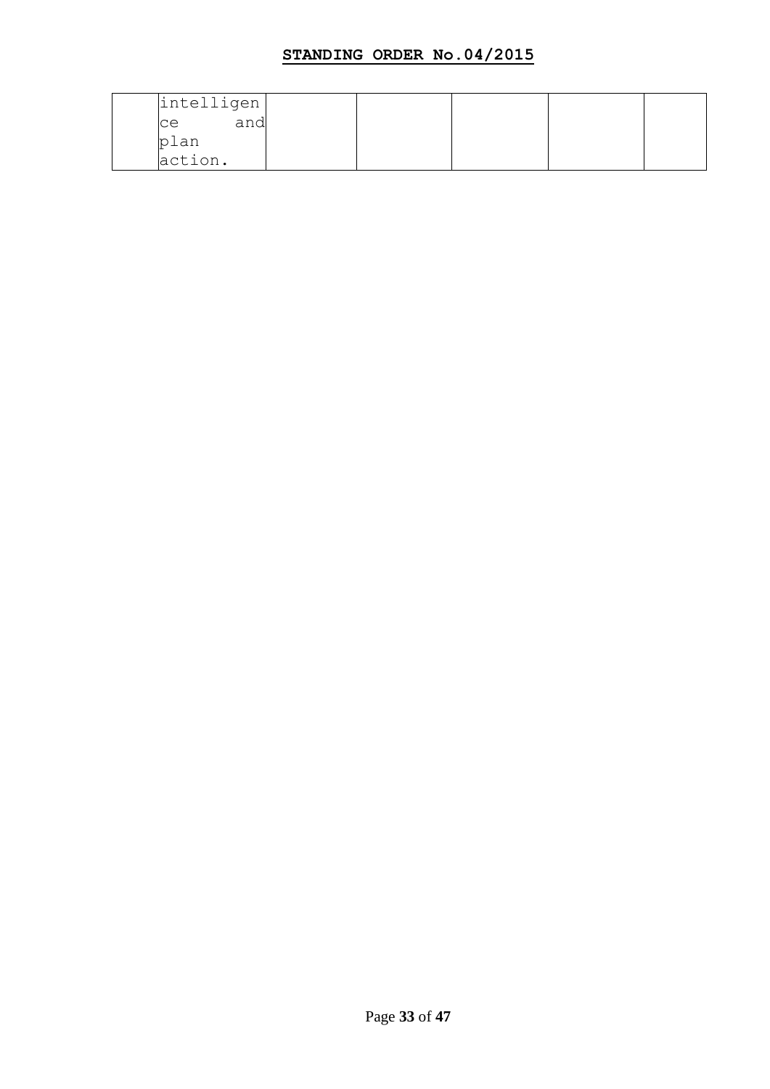| intelligen |     |  |  |
|------------|-----|--|--|
| ce         | and |  |  |
| plan       |     |  |  |
| action.    |     |  |  |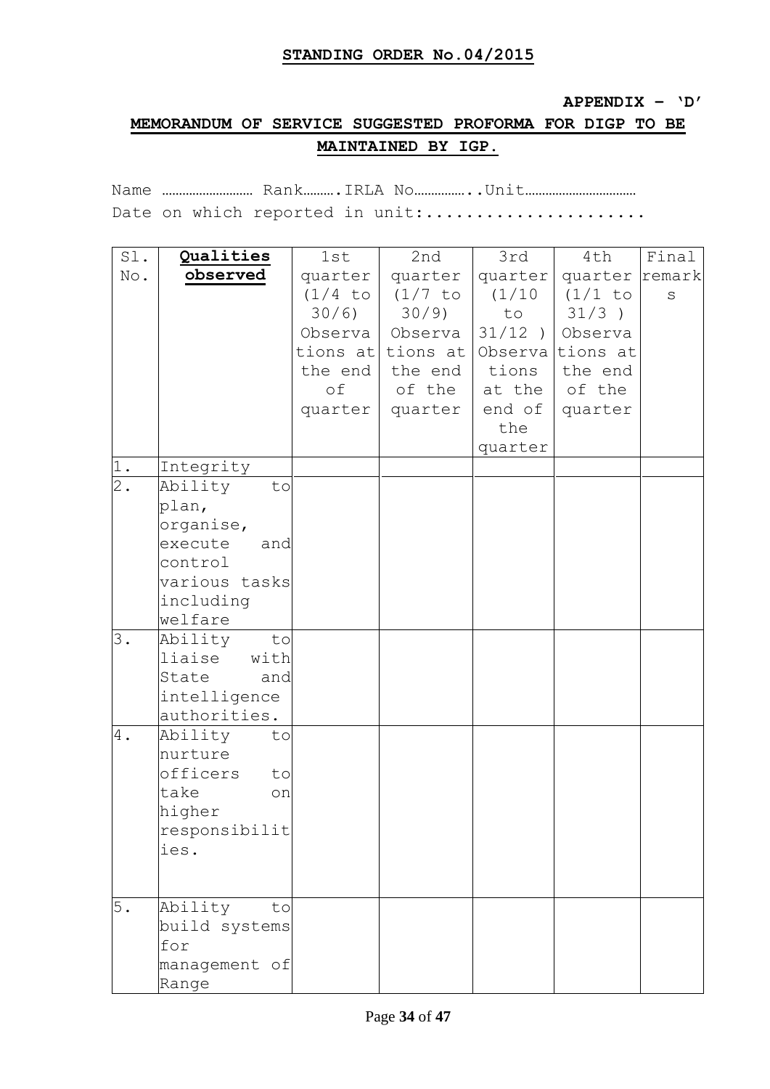#### **APPENDIX – "D"**

# **MEMORANDUM OF SERVICE SUGGESTED PROFORMA FOR DIGP TO BE MAINTAINED BY IGP.**

Name ……………………… Rank……….IRLA No……………..Unit…………………………… Date on which reported in unit:.....................

| Sl.              | Qualities                    | 1st       | 2nd               | 3rd     | 4th               | Final   |
|------------------|------------------------------|-----------|-------------------|---------|-------------------|---------|
| No.              | observed                     | quarter   | quarter           | quarter | quarter remark    |         |
|                  |                              | $(1/4$ to | (1/7 to           | (1/10)  | (1/1 to           | $\rm S$ |
|                  |                              | 30/6)     | 30/9              | to      | $31/3$ )          |         |
|                  |                              |           | Observa   Observa |         | $31/12$ ) Observa |         |
|                  |                              | tions at  | tions at          |         | Observa tions at  |         |
|                  |                              | the end   | the end           | tions   | the end           |         |
|                  |                              | оf        | of the            | at the  | of the            |         |
|                  |                              | quarter   | quarter           |         | end of   quarter  |         |
|                  |                              |           |                   | the     |                   |         |
|                  |                              |           |                   | quarter |                   |         |
| $1$ .            | Integrity                    |           |                   |         |                   |         |
| $\overline{2}$ . | Ability<br>to                |           |                   |         |                   |         |
|                  | plan,                        |           |                   |         |                   |         |
|                  | organise,                    |           |                   |         |                   |         |
|                  | execute<br>and               |           |                   |         |                   |         |
|                  | control                      |           |                   |         |                   |         |
|                  | various tasks                |           |                   |         |                   |         |
|                  | including                    |           |                   |         |                   |         |
|                  | welfare                      |           |                   |         |                   |         |
| 3.               | Ability<br>to                |           |                   |         |                   |         |
|                  | liaise<br>with               |           |                   |         |                   |         |
|                  | State<br>and                 |           |                   |         |                   |         |
|                  | intelligence<br>authorities. |           |                   |         |                   |         |
| 4.               | Ability<br>to                |           |                   |         |                   |         |
|                  | nurture                      |           |                   |         |                   |         |
|                  | officers<br>to               |           |                   |         |                   |         |
|                  | take<br>on                   |           |                   |         |                   |         |
|                  | higher                       |           |                   |         |                   |         |
|                  | responsibilit                |           |                   |         |                   |         |
|                  | ies.                         |           |                   |         |                   |         |
|                  |                              |           |                   |         |                   |         |
|                  |                              |           |                   |         |                   |         |
| 5.               | Ability<br>to                |           |                   |         |                   |         |
|                  | build systems                |           |                   |         |                   |         |
|                  | for                          |           |                   |         |                   |         |
|                  | management of                |           |                   |         |                   |         |
|                  | Range                        |           |                   |         |                   |         |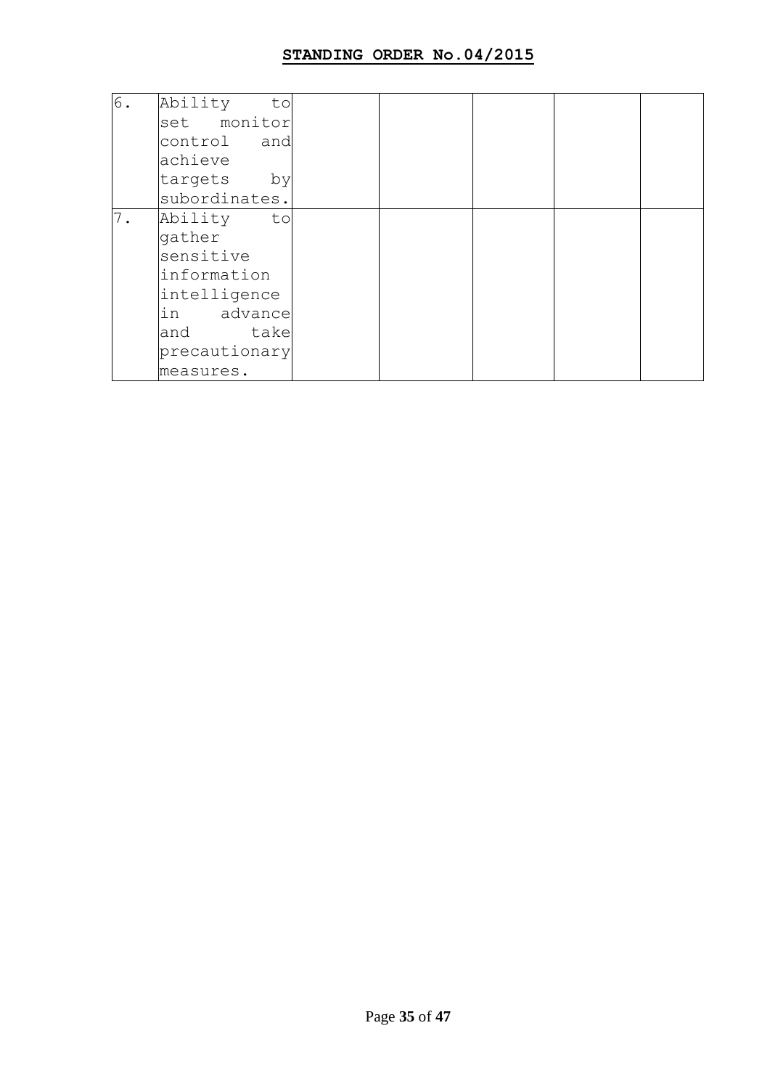| 6. | Ability<br>to |  |  |  |
|----|---------------|--|--|--|
|    | set monitor   |  |  |  |
|    | control and   |  |  |  |
|    | achieve       |  |  |  |
|    | targets<br>by |  |  |  |
|    | subordinates. |  |  |  |
| 7. | Ability<br>to |  |  |  |
|    | gather        |  |  |  |
|    | sensitive     |  |  |  |
|    | linformation  |  |  |  |
|    | intelligence  |  |  |  |
|    | in advance    |  |  |  |
|    | take<br>and   |  |  |  |
|    | precautionary |  |  |  |
|    | measures.     |  |  |  |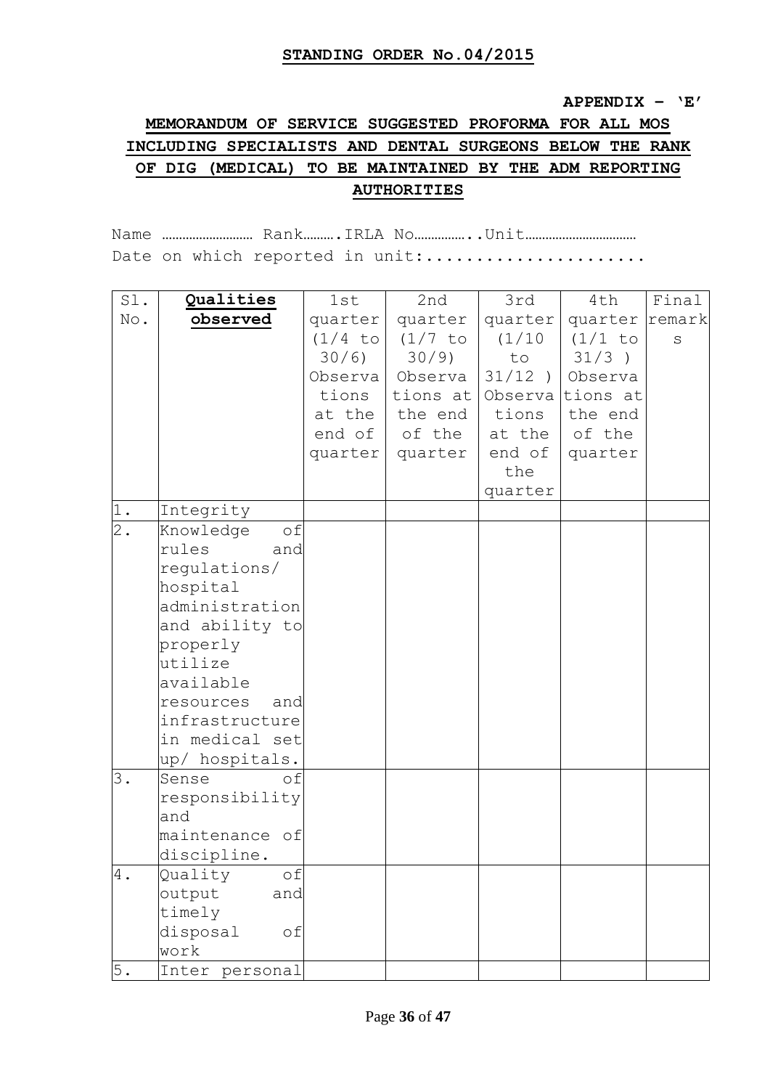#### **APPENDIX – "E"**

# **MEMORANDUM OF SERVICE SUGGESTED PROFORMA FOR ALL MOS INCLUDING SPECIALISTS AND DENTAL SURGEONS BELOW THE RANK OF DIG (MEDICAL) TO BE MAINTAINED BY THE ADM REPORTING AUTHORITIES**

Name ……………………… Rank……….IRLA No……………..Unit…………………………… Date on which reported in unit:.....................

| Sl.   | Qualities        | 1st       | 2nd       | 3rd       | 4th            | Final |
|-------|------------------|-----------|-----------|-----------|----------------|-------|
| No.   | observed         | quarter   | quarter   | quarter   | quarter remark |       |
|       |                  | $(1/4$ to | $(1/7$ to | (1/10)    | $(1/1$ to      | S     |
|       |                  | 30/6)     | $30/9$ )  | to        | 31/3)          |       |
|       |                  | Observa   | Observa   | $31/12$ ) | Observa        |       |
|       |                  | tions     | tions at  | Observal  | tions at       |       |
|       |                  | at the    | the end   | tions     | the end        |       |
|       |                  | end of    | of the    | at the    | of the         |       |
|       |                  | quarter   | quarter   | end of    | quarter        |       |
|       |                  |           |           | the       |                |       |
|       |                  |           |           | quarter   |                |       |
| 1.    | Integrity        |           |           |           |                |       |
| $2$ . | Knowledge<br>of  |           |           |           |                |       |
|       | rules<br>and     |           |           |           |                |       |
|       | regulations/     |           |           |           |                |       |
|       | hospital         |           |           |           |                |       |
|       | administration   |           |           |           |                |       |
|       | and ability to   |           |           |           |                |       |
|       | properly         |           |           |           |                |       |
|       | utilize          |           |           |           |                |       |
|       | available        |           |           |           |                |       |
|       | resources<br>and |           |           |           |                |       |
|       | infrastructure   |           |           |           |                |       |
|       | in medical set   |           |           |           |                |       |
|       | up/ hospitals.   |           |           |           |                |       |
| 3.    | Sense<br>of      |           |           |           |                |       |
|       | responsibility   |           |           |           |                |       |
|       | and              |           |           |           |                |       |
|       | maintenance of   |           |           |           |                |       |
|       | discipline.      |           |           |           |                |       |
| $4$ . | Quality<br>оf    |           |           |           |                |       |
|       | output<br>and    |           |           |           |                |       |
|       | timely           |           |           |           |                |       |
|       | disposal<br>оf   |           |           |           |                |       |
|       | work             |           |           |           |                |       |
| 5.    | Inter personal   |           |           |           |                |       |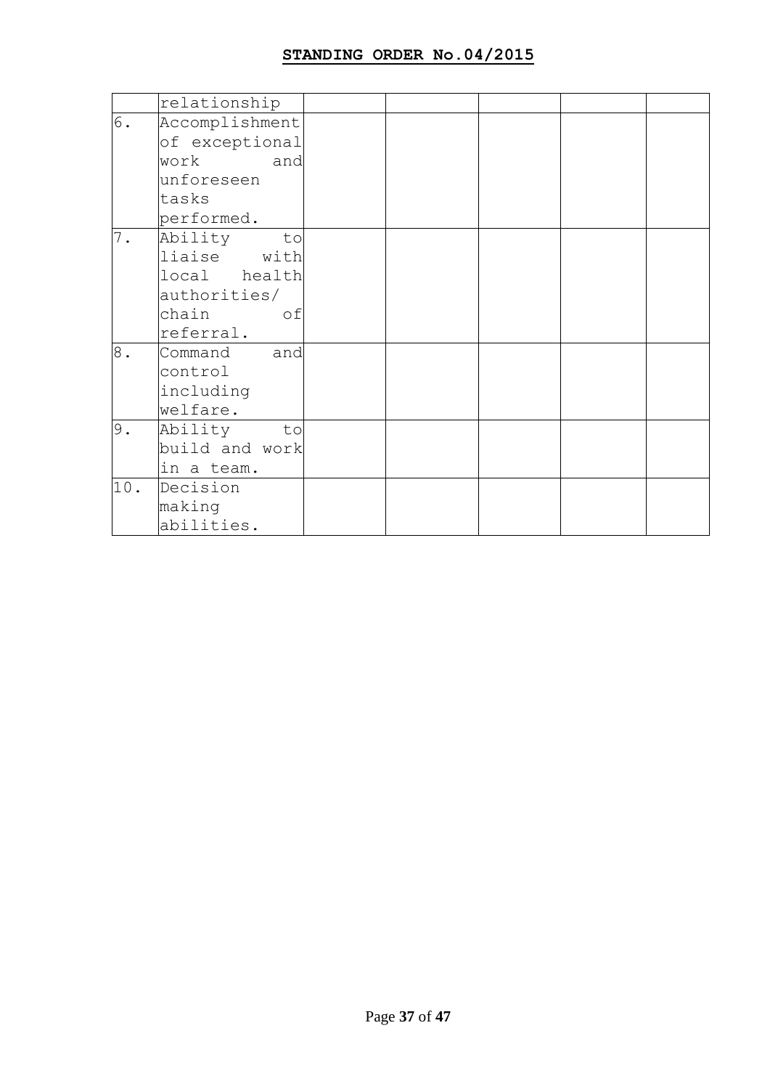|       | relationship   |  |  |  |
|-------|----------------|--|--|--|
| 6.    | Accomplishment |  |  |  |
|       | of exceptional |  |  |  |
|       | work<br>and    |  |  |  |
|       | unforeseen     |  |  |  |
|       | tasks          |  |  |  |
|       | performed.     |  |  |  |
| 7.    | Ability<br>to  |  |  |  |
|       | liaise with    |  |  |  |
|       | local health   |  |  |  |
|       | authorities/   |  |  |  |
|       | chain<br>of    |  |  |  |
|       | referral.      |  |  |  |
| $8$ . | Command<br>and |  |  |  |
|       | control        |  |  |  |
|       | including      |  |  |  |
|       | welfare.       |  |  |  |
| 9.    | Ability<br>to  |  |  |  |
|       | build and work |  |  |  |
|       | in a team.     |  |  |  |
| 10.   | Decision       |  |  |  |
|       | making         |  |  |  |
|       | abilities.     |  |  |  |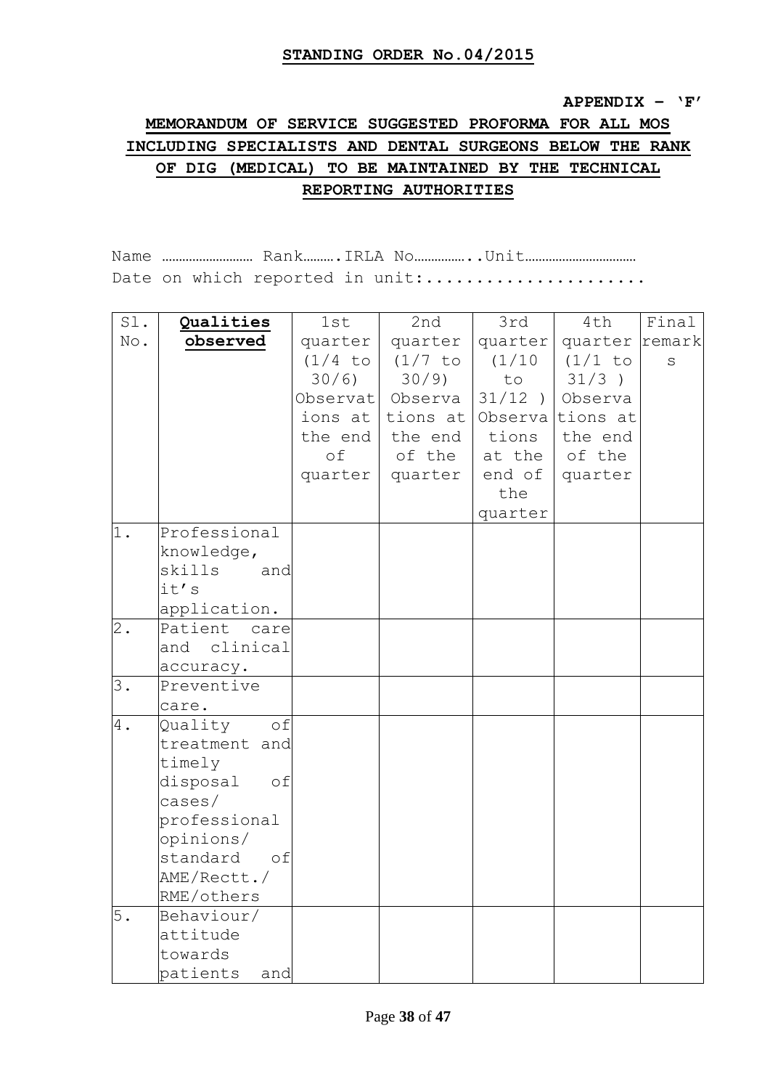#### **APPENDIX – "F"**

# **MEMORANDUM OF SERVICE SUGGESTED PROFORMA FOR ALL MOS INCLUDING SPECIALISTS AND DENTAL SURGEONS BELOW THE RANK OF DIG (MEDICAL) TO BE MAINTAINED BY THE TECHNICAL REPORTING AUTHORITIES**

Name ……………………… Rank……….IRLA No……………..Unit…………………………… Date on which reported in unit:......................

| Sl.   | Qualities                 | 1st       | 2nd              | 3rd       | 4th              | Final |
|-------|---------------------------|-----------|------------------|-----------|------------------|-------|
| No.   | observed                  | quarter   | quarter          | quarter   | quarter remark   |       |
|       |                           | $(1/4$ to | $(1/7$ to        | (1/10)    | $(1/1$ to        | S     |
|       |                           | 30/6)     | $30/9$ )         | to        | $31/3$ )         |       |
|       |                           |           | Observat Observa | $31/12$ ) | Observa          |       |
|       |                           | ions at   | tions at         |           | Observa tions at |       |
|       |                           | the end   | the end          | tions     | the end          |       |
|       |                           | of        | of the           | at the    | of the           |       |
|       |                           | quarter   | quarter          | end of    | quarter          |       |
|       |                           |           |                  | the       |                  |       |
|       |                           |           |                  | quarter   |                  |       |
| 1.    | Professional              |           |                  |           |                  |       |
|       | knowledge,                |           |                  |           |                  |       |
|       | skills<br>and             |           |                  |           |                  |       |
|       | it's                      |           |                  |           |                  |       |
|       | application.              |           |                  |           |                  |       |
| $2$ . | Patient<br>care           |           |                  |           |                  |       |
|       | and clinical              |           |                  |           |                  |       |
|       | accuracy.                 |           |                  |           |                  |       |
| 3.    | Preventive                |           |                  |           |                  |       |
|       | care.                     |           |                  |           |                  |       |
| 4.    | of<br>Quality             |           |                  |           |                  |       |
|       | treatment and             |           |                  |           |                  |       |
|       | timely                    |           |                  |           |                  |       |
|       | disposal<br>of<br>cases / |           |                  |           |                  |       |
|       | professional              |           |                  |           |                  |       |
|       | opinions/                 |           |                  |           |                  |       |
|       | standard<br>of            |           |                  |           |                  |       |
|       | AME/Rectt./               |           |                  |           |                  |       |
|       | RME/others                |           |                  |           |                  |       |
| 5.    | Behaviour/                |           |                  |           |                  |       |
|       | attitude                  |           |                  |           |                  |       |
|       | towards                   |           |                  |           |                  |       |
|       | patients<br>and           |           |                  |           |                  |       |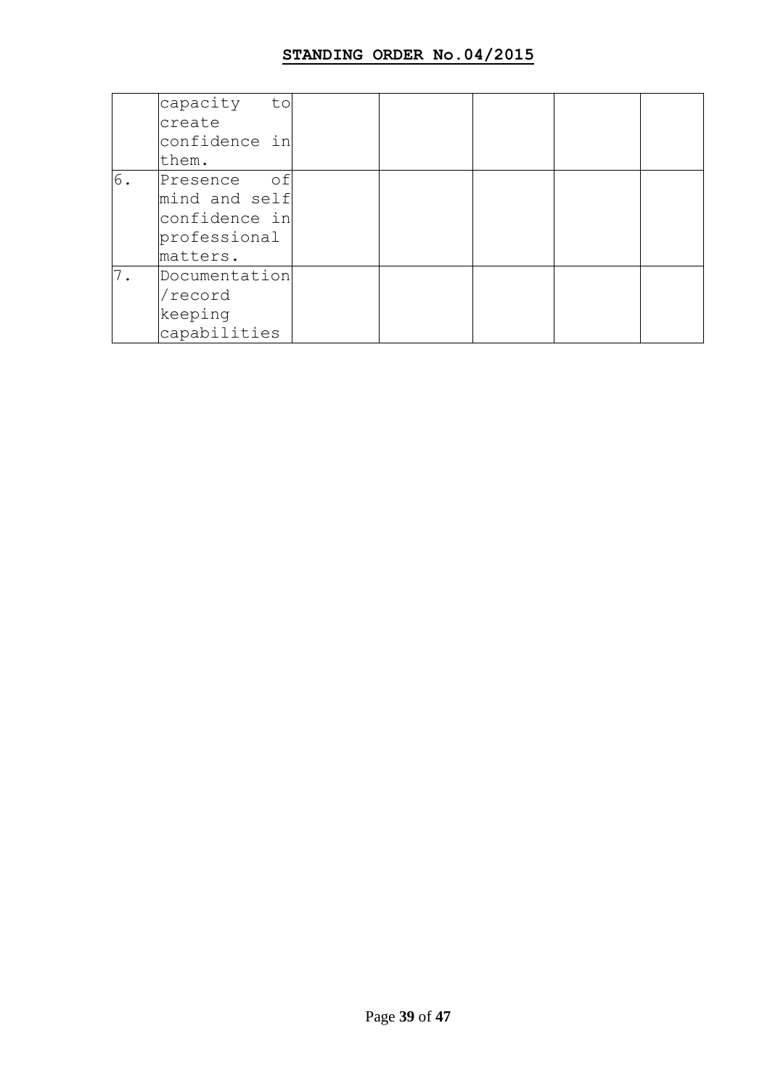|    | capacity<br>to |  |  |  |
|----|----------------|--|--|--|
|    | create         |  |  |  |
|    | confidence in  |  |  |  |
|    | them.          |  |  |  |
| 6. | of<br>Presence |  |  |  |
|    | mind and self  |  |  |  |
|    | confidence in  |  |  |  |
|    | professional   |  |  |  |
|    | matters.       |  |  |  |
| 7. | Documentation  |  |  |  |
|    | 'record        |  |  |  |
|    | keeping        |  |  |  |
|    | capabilities   |  |  |  |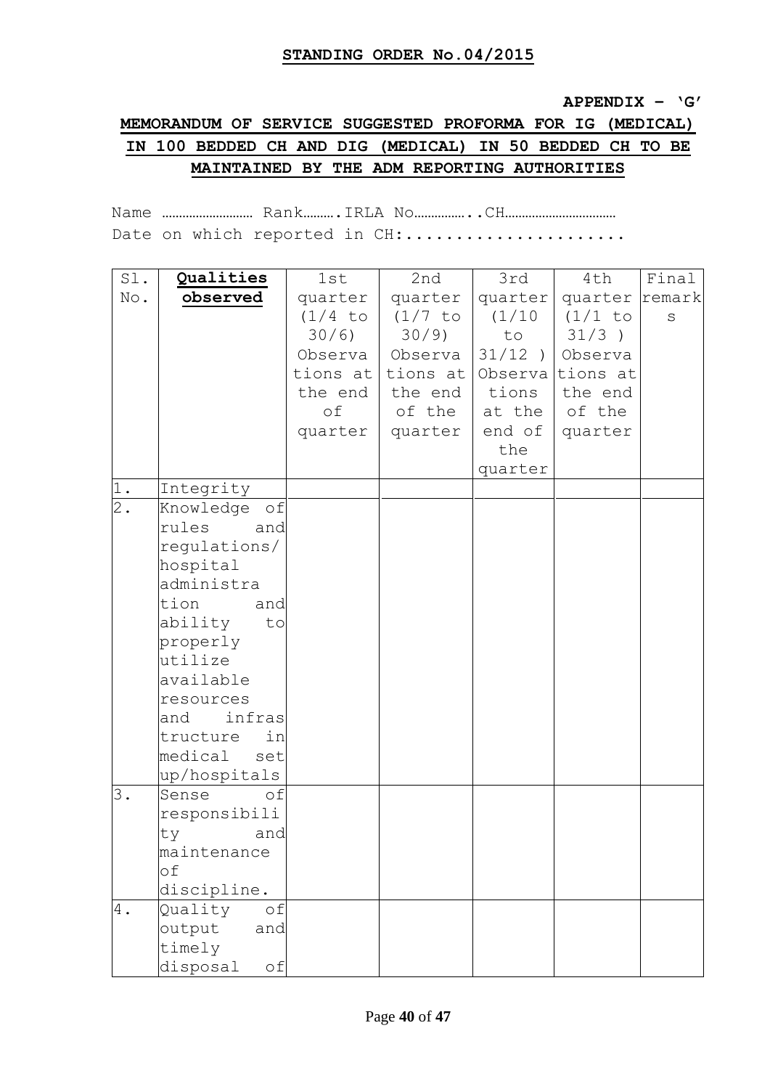#### **APPENDIX – "G"**

# **MEMORANDUM OF SERVICE SUGGESTED PROFORMA FOR IG (MEDICAL) IN 100 BEDDED CH AND DIG (MEDICAL) IN 50 BEDDED CH TO BE MAINTAINED BY THE ADM REPORTING AUTHORITIES**

Name ……………………… Rank……….IRLA No……………..CH…………………………… Date on which reported in CH:.....................

| Sl.   | Qualities                   | 1st       | 2nd               | 3rd     | 4th                   | Final   |
|-------|-----------------------------|-----------|-------------------|---------|-----------------------|---------|
| No.   | observed                    | quarter   | quarter           | quarter | quarter remark        |         |
|       |                             | $(1/4$ to | (1/7 to           |         | (1/10   (1/1 to       | $\rm S$ |
|       |                             | 30/6)     | $30/9$ )          | to      | $31/3$ )              |         |
|       |                             |           | Observa   Observa |         | $31/12$ ) Observa     |         |
|       |                             |           | tions at tions at |         | Observa tions at      |         |
|       |                             | the end   | the end           | tions   | the end               |         |
|       |                             | оf        | of the            |         | at the $\circ$ of the |         |
|       |                             | quarter   | quarter           | end of  | quarter               |         |
|       |                             |           |                   | the     |                       |         |
|       |                             |           |                   | quarter |                       |         |
| 1.    | Integrity                   |           |                   |         |                       |         |
| $2$ . | Knowledge of                |           |                   |         |                       |         |
|       | rules<br>and                |           |                   |         |                       |         |
|       | regulations/                |           |                   |         |                       |         |
|       | hospital                    |           |                   |         |                       |         |
|       | administra                  |           |                   |         |                       |         |
|       | tion<br>and                 |           |                   |         |                       |         |
|       | ability<br>to               |           |                   |         |                       |         |
|       | properly                    |           |                   |         |                       |         |
|       | utilize                     |           |                   |         |                       |         |
|       | available                   |           |                   |         |                       |         |
|       | resources                   |           |                   |         |                       |         |
|       | infras<br>and               |           |                   |         |                       |         |
|       | tructure<br>in              |           |                   |         |                       |         |
|       | medical<br>set              |           |                   |         |                       |         |
| 3.    | up/hospitals<br>of<br>Sense |           |                   |         |                       |         |
|       | responsibili                |           |                   |         |                       |         |
|       | ty<br>and                   |           |                   |         |                       |         |
|       | maintenance                 |           |                   |         |                       |         |
|       | оf                          |           |                   |         |                       |         |
|       | discipline.                 |           |                   |         |                       |         |
| 4.    | Quality<br>of               |           |                   |         |                       |         |
|       | output<br>and               |           |                   |         |                       |         |
|       | timely                      |           |                   |         |                       |         |
|       | disposal<br>оf              |           |                   |         |                       |         |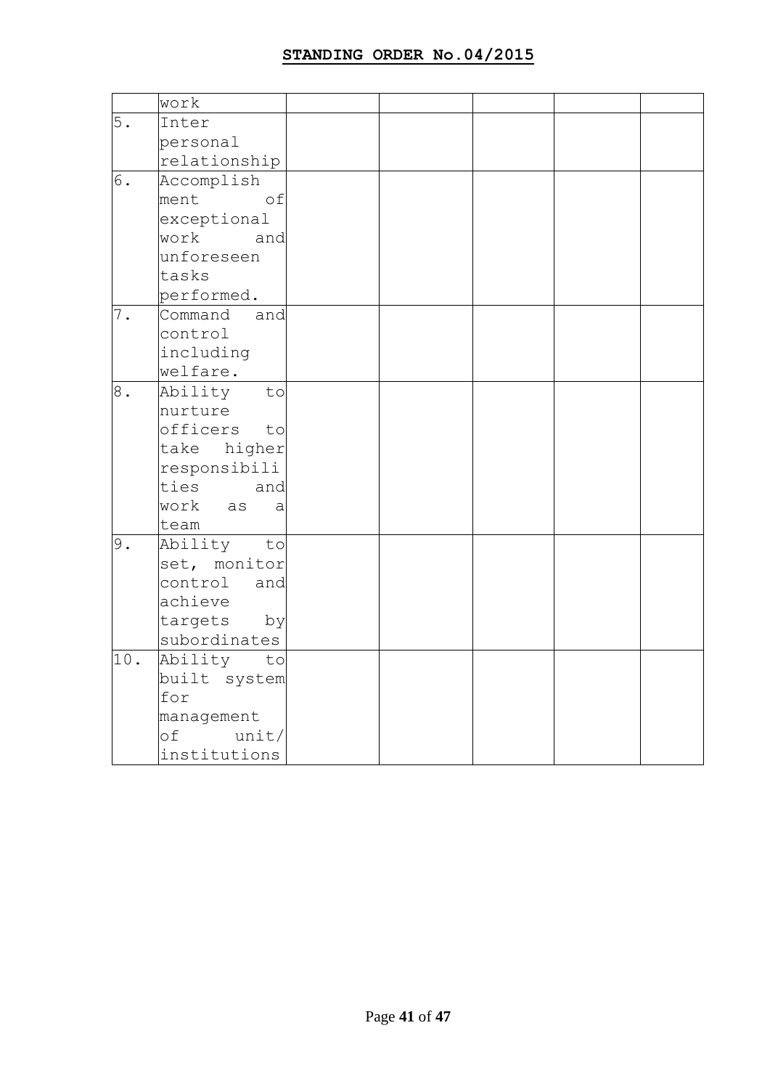|       | work                       |  |  |  |
|-------|----------------------------|--|--|--|
| 5.    | Inter                      |  |  |  |
|       | personal                   |  |  |  |
|       | relationship               |  |  |  |
| 6.    | Accomplish                 |  |  |  |
|       | ment<br>of                 |  |  |  |
|       | exceptional                |  |  |  |
|       | work<br>and                |  |  |  |
|       | unforeseen                 |  |  |  |
|       | tasks                      |  |  |  |
|       | performed.                 |  |  |  |
| $7$ . | Command<br>and             |  |  |  |
|       | control                    |  |  |  |
|       | including                  |  |  |  |
|       | welfare.                   |  |  |  |
| 8.    | to<br>Ability              |  |  |  |
|       | nurture                    |  |  |  |
|       | officers<br>to             |  |  |  |
|       | take higher                |  |  |  |
|       | responsibili               |  |  |  |
|       | ties<br>and                |  |  |  |
|       | work<br>as<br>$\mathsf{a}$ |  |  |  |
|       | team                       |  |  |  |
| 9.    | Ability<br>to              |  |  |  |
|       | set, monitor               |  |  |  |
|       | control<br>and             |  |  |  |
|       | achieve                    |  |  |  |
|       | targets<br>by              |  |  |  |
|       | subordinates               |  |  |  |
| 10.   | Ability<br>to              |  |  |  |
|       | built system               |  |  |  |
|       | for                        |  |  |  |
|       | management                 |  |  |  |
|       | of<br>unit/                |  |  |  |
|       | institutions               |  |  |  |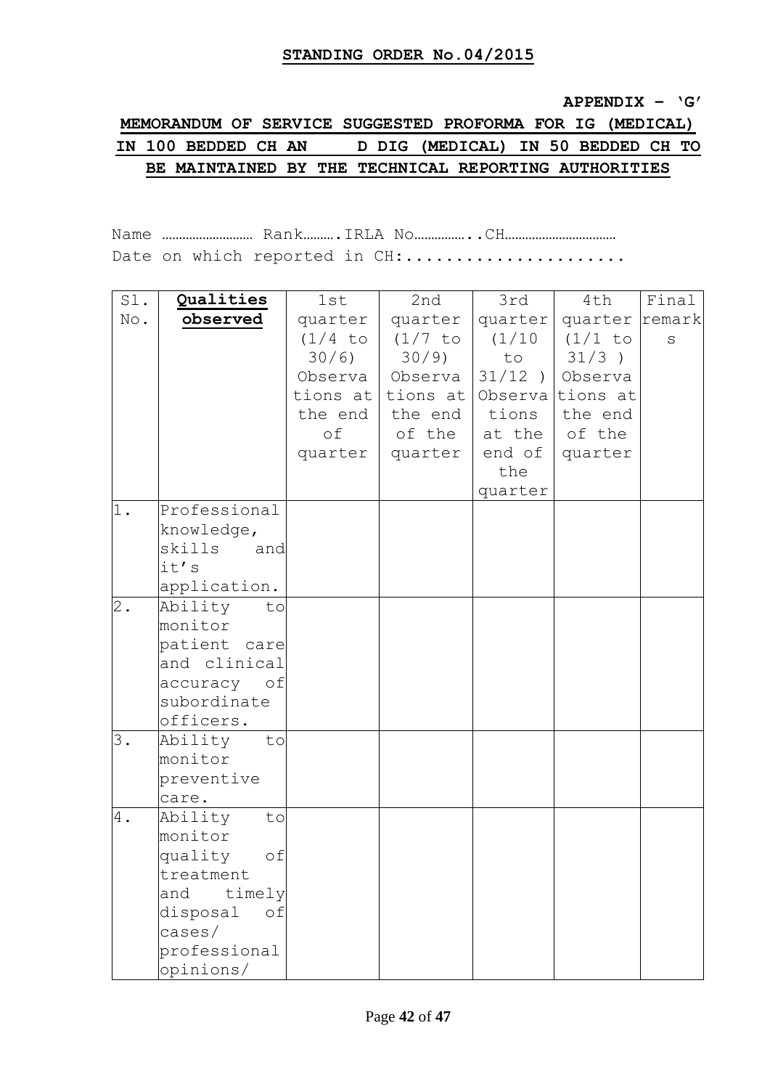#### **APPENDIX – "G"**

# **MEMORANDUM OF SERVICE SUGGESTED PROFORMA FOR IG (MEDICAL) IN 100 BEDDED CH AN D DIG (MEDICAL) IN 50 BEDDED CH TO BE MAINTAINED BY THE TECHNICAL REPORTING AUTHORITIES**

Name ……………………… Rank……….IRLA No……………..CH…………………………… Date on which reported in CH:.....................

| Sl.   | Qualities      | 1st       | 2nd               | 3rd     | 4th                    | Final   |
|-------|----------------|-----------|-------------------|---------|------------------------|---------|
| No.   | observed       | quarter   | quarter           | quarter | quarter remark         |         |
|       |                | $(1/4$ to | (1/7 to           |         | (1/10   (1/1 to        | $\rm S$ |
|       |                | 30/6)     | $30/9$ )          | to      | $31/3$ )               |         |
|       |                |           | Observa   Observa |         | $31/12$ ) Observa      |         |
|       |                |           | tions at tions at |         | Observa tions at       |         |
|       |                | the end   | the end           | tions   | the end                |         |
|       |                | оf        | of the            |         | at the   of the        |         |
|       |                | quarter   | quarter           |         | end of $\vert$ quarter |         |
|       |                |           |                   | the     |                        |         |
|       |                |           |                   | quarter |                        |         |
| 1.    | Professional   |           |                   |         |                        |         |
|       | knowledge,     |           |                   |         |                        |         |
|       | skills<br>and  |           |                   |         |                        |         |
|       | it's           |           |                   |         |                        |         |
|       | application.   |           |                   |         |                        |         |
| $2$ . | Ability<br>to  |           |                   |         |                        |         |
|       | monitor        |           |                   |         |                        |         |
|       | patient care   |           |                   |         |                        |         |
|       | and clinical   |           |                   |         |                        |         |
|       | accuracy of    |           |                   |         |                        |         |
|       | subordinate    |           |                   |         |                        |         |
|       | officers.      |           |                   |         |                        |         |
| 3.    | Ability<br>to  |           |                   |         |                        |         |
|       | monitor        |           |                   |         |                        |         |
|       | preventive     |           |                   |         |                        |         |
|       | care.          |           |                   |         |                        |         |
| 4.    | Ability<br>to  |           |                   |         |                        |         |
|       | monitor        |           |                   |         |                        |         |
|       | quality<br>оf  |           |                   |         |                        |         |
|       | treatment      |           |                   |         |                        |         |
|       | timely<br>and  |           |                   |         |                        |         |
|       | disposal<br>of |           |                   |         |                        |         |
|       | cases /        |           |                   |         |                        |         |
|       | professional   |           |                   |         |                        |         |
|       | opinions/      |           |                   |         |                        |         |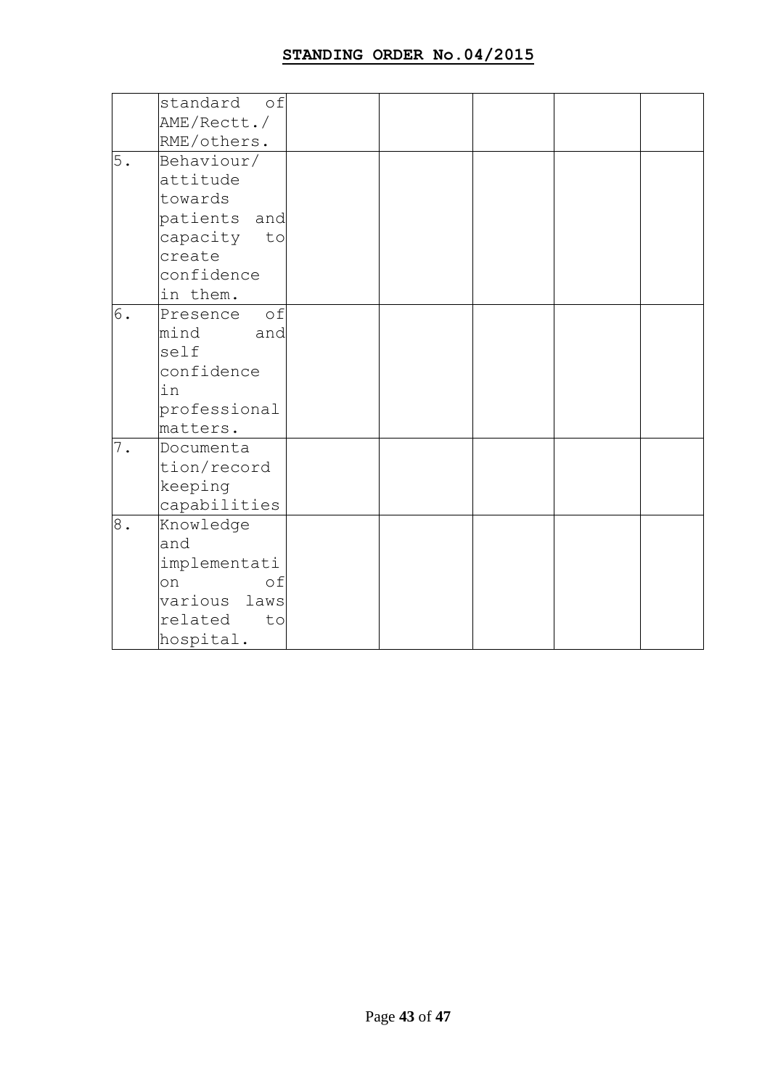| AME/Rectt./  |                         |                                                                                     |  |  |
|--------------|-------------------------|-------------------------------------------------------------------------------------|--|--|
| RME/others.  |                         |                                                                                     |  |  |
| Behaviour/   |                         |                                                                                     |  |  |
| attitude     |                         |                                                                                     |  |  |
| towards      |                         |                                                                                     |  |  |
|              |                         |                                                                                     |  |  |
|              |                         |                                                                                     |  |  |
| create       |                         |                                                                                     |  |  |
| confidence   |                         |                                                                                     |  |  |
| in them.     |                         |                                                                                     |  |  |
| Presence     |                         |                                                                                     |  |  |
| mind         |                         |                                                                                     |  |  |
| self         |                         |                                                                                     |  |  |
| confidence   |                         |                                                                                     |  |  |
| in           |                         |                                                                                     |  |  |
| professional |                         |                                                                                     |  |  |
| matters.     |                         |                                                                                     |  |  |
| Documenta    |                         |                                                                                     |  |  |
| tion/record  |                         |                                                                                     |  |  |
|              |                         |                                                                                     |  |  |
|              |                         |                                                                                     |  |  |
| Knowledge    |                         |                                                                                     |  |  |
| and          |                         |                                                                                     |  |  |
| implementati |                         |                                                                                     |  |  |
| on           |                         |                                                                                     |  |  |
|              |                         |                                                                                     |  |  |
| related      |                         |                                                                                     |  |  |
| hospital.    |                         |                                                                                     |  |  |
|              | keeping<br>capabilities | standard of<br>patients and<br>capacity to<br>of<br>and<br>of<br>various laws<br>to |  |  |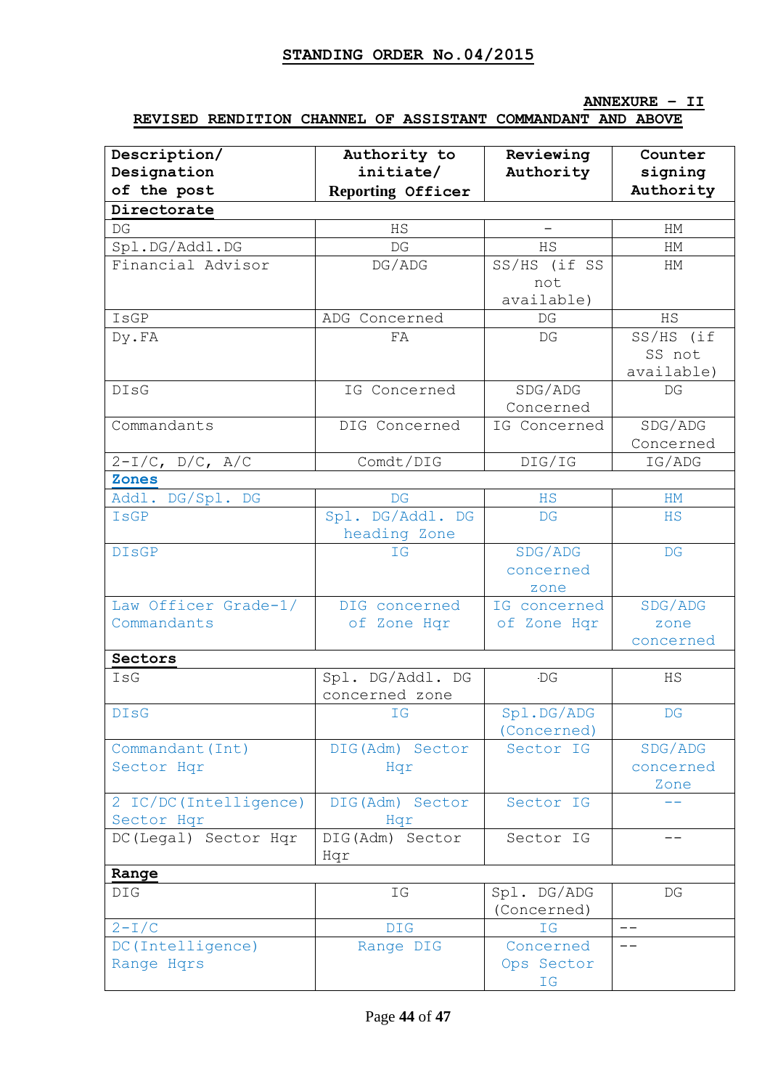### **ANNEXURE – II**

### **REVISED RENDITION CHANNEL OF ASSISTANT COMMANDANT AND ABOVE**

| Description/           | Authority to      | Reviewing                | Counter                |
|------------------------|-------------------|--------------------------|------------------------|
| Designation            | initiate/         | Authority                | signing                |
| of the post            | Reporting Officer |                          | Authority              |
| Directorate            |                   |                          |                        |
| DG                     | HS                | $\overline{\phantom{0}}$ | HМ                     |
| Spl.DG/Addl.DG         | DG                | HS                       | HM                     |
| Financial Advisor      | DG/ADG            | SS/HS (if SS             | HM                     |
|                        |                   | not                      |                        |
|                        |                   | available)               |                        |
| IsGP                   | ADG Concerned     | DG                       | <b>HS</b>              |
| Dy.FA                  | FA                | DG                       | SS/HS (if              |
|                        |                   |                          | SS not                 |
|                        |                   |                          | available)             |
| <b>DIsG</b>            | IG Concerned      | SDG/ADG                  | DG                     |
|                        |                   | Concerned                |                        |
| Commandants            | DIG Concerned     | IG Concerned             | SDG/ADG                |
|                        |                   |                          | Concerned              |
| $2-I/C$ , D/C, A/C     | Comdt/DIG         | DIG/IG                   | IG/ADG                 |
| <b>Zones</b>           |                   |                          |                        |
| Addl. DG/Spl. DG       | DG                | HS                       | HM                     |
| IsGP                   | Spl. DG/Addl. DG  | DG                       | HS                     |
|                        | heading Zone      |                          |                        |
| <b>DISGP</b>           | <b>IG</b>         | SDG/ADG                  | $\mathbb{D}\mathbb{G}$ |
|                        |                   | concerned                |                        |
|                        |                   | zone                     |                        |
| Law Officer Grade-1/   | DIG concerned     | IG concerned             | SDG/ADG                |
| Commandants            | of Zone Hqr       | of Zone Hqr              | zone                   |
|                        |                   |                          | concerned              |
| Sectors                |                   |                          |                        |
| IsG                    | Spl. DG/Addl. DG  | <b>DG</b>                | HS                     |
|                        | concerned zone    |                          |                        |
| <b>DISG</b>            | IG                | Spl.DG/ADG               | $\mathbb{D}\mathbb{G}$ |
|                        |                   | (Concerned)              |                        |
| Commandant (Int)       | DIG(Adm) Sector   | Sector IG                | SDG/ADG                |
| Sector Hqr             | Hqr               |                          | concerned              |
|                        |                   |                          | Zone                   |
| 2 IC/DC (Intelligence) | DIG(Adm) Sector   | Sector IG                |                        |
| Sector Hqr             | Hqr               |                          |                        |
| DC(Legal) Sector Hqr   | DIG(Adm) Sector   | Sector IG                | $- -$                  |
|                        | Hqr               |                          |                        |
| Range                  |                   |                          |                        |
| <b>DIG</b>             | ΙG                | Spl. DG/ADG              | DG                     |
|                        |                   | (Concerned)              |                        |
| $2-T/C$                | <b>DIG</b>        | IG                       | --                     |
| DC (Intelligence)      | Range DIG         | Concerned                |                        |
| Range Hqrs             |                   | Ops Sector               |                        |
|                        |                   | IG                       |                        |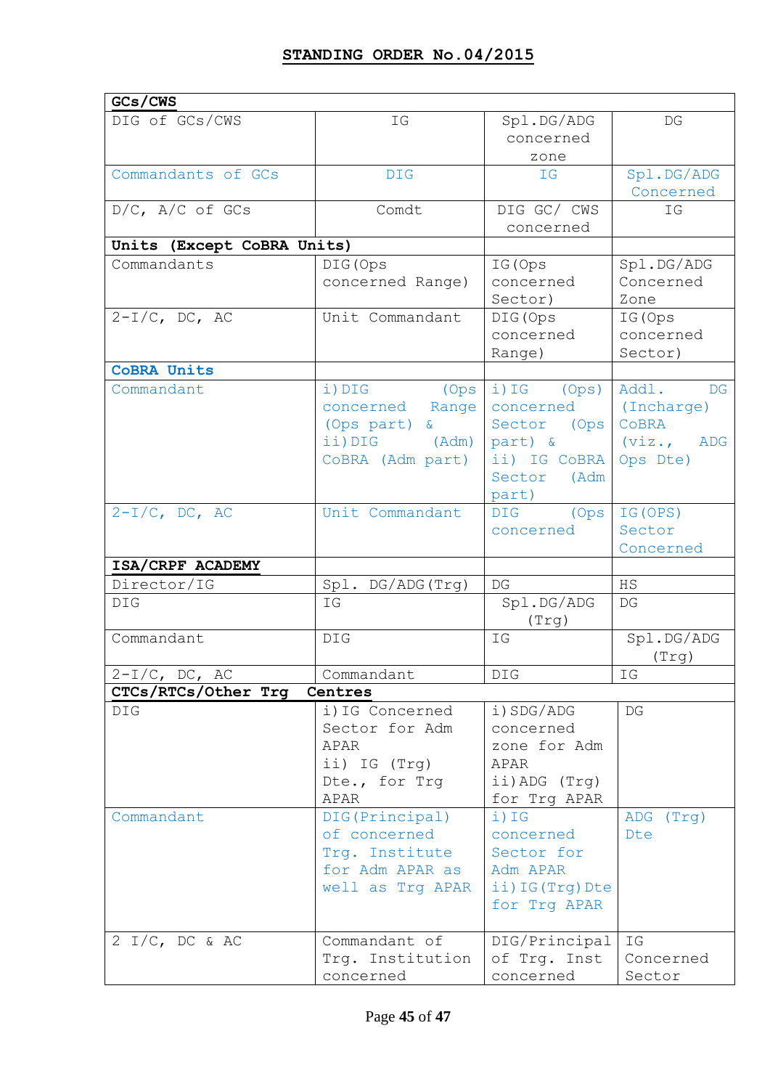| GCs/CWS                    |                  |                    |                          |
|----------------------------|------------------|--------------------|--------------------------|
| DIG of GCs/CWS             | ΙG               | Spl.DG/ADG         | DG                       |
|                            |                  | concerned          |                          |
|                            |                  | zone               |                          |
| Commandants of GCs         | <b>DIG</b>       | IG                 | Spl.DG/ADG               |
|                            |                  |                    | Concerned                |
| $D/C$ , $A/C$ of $GCs$     | Comdt            | DIG GC/ CWS        | ΙG                       |
|                            |                  | concerned          |                          |
| Units (Except CoBRA Units) |                  |                    |                          |
| Commandants                | DIG (Ops         | IG (Ops            | Spl.DG/ADG               |
|                            | concerned Range) | concerned          | Concerned                |
|                            |                  | Sector)            | Zone                     |
| $2-I/C$ , DC, AC           | Unit Commandant  | DIG (Ops           | IG (Ops                  |
|                            |                  | concerned          | concerned                |
|                            |                  | Range)             | Sector)                  |
| <b>COBRA Units</b>         |                  |                    |                          |
| Commandant                 | i) DIG (Ops      | i) IG (Ops)        | Addl. DG                 |
|                            | concerned Range  | concerned          | (Incharge)               |
|                            | (Ops part) &     | Sector (Ops)       | CoBRA                    |
|                            | ii) DIG (Adm)    | part) &            | (viz., ADG               |
|                            | CoBRA (Adm part) | ii) IG CoBRA       | Ops Dte)                 |
|                            |                  | Sector (Adm        |                          |
|                            |                  | part)              |                          |
| $2-I/C$ , DC, AC           | Unit Commandant  | <b>DIG</b><br>(Ops | IG (OPS)                 |
|                            |                  | concerned          | Sector                   |
|                            |                  |                    | Concerned                |
| ISA/CRPF ACADEMY           |                  |                    |                          |
| Director/IG                | Spl. DG/ADG(Trg) | DG                 | <b>HS</b>                |
| DIG                        | ΙG               | Spl.DG/ADG         | DG                       |
|                            |                  | (Trg)              |                          |
| Commandant                 | DIG              | ΙG                 | Spl.DG/ADG               |
|                            |                  |                    | (Trq)                    |
| $2-I/C$ , DC, AC           | Commandant       | DIG                | $\mathbb{I}\,\mathbb{G}$ |
| CTCs/RTCs/Other Trg        | Centres          |                    |                          |
| DIG                        | i) IG Concerned  | i) SDG/ADG         | DG                       |
|                            | Sector for Adm   | concerned          |                          |
|                            | APAR             | zone for Adm       |                          |
|                            | ii) IG (Trg)     | APAR               |                          |
|                            | Dte., for Trg    | ii) ADG (Trg)      |                          |
|                            | APAR             | for Trg APAR       |                          |
| Commandant                 | DIG(Principal)   | i) IG              | (Trq)<br>ADG             |
|                            | of concerned     | concerned          | Dte                      |
|                            | Trg. Institute   | Sector for         |                          |
|                            | for Adm APAR as  | Adm APAR           |                          |
|                            | well as Trg APAR | ii) IG (Trg) Dte   |                          |
|                            |                  | for Trg APAR       |                          |
|                            |                  |                    |                          |
| $2 I/C$ , DC & AC          | Commandant of    | DIG/Principal      | IG                       |
|                            | Trg. Institution | of Trg. Inst       | Concerned                |
|                            | concerned        | concerned          | Sector                   |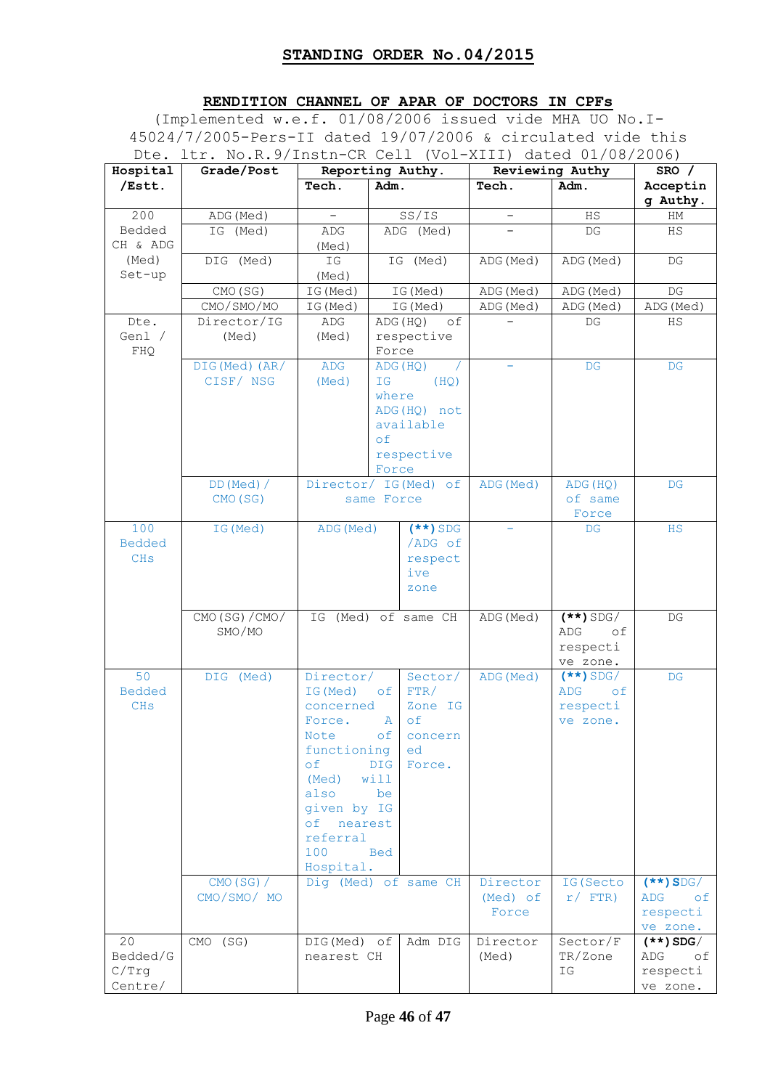## **RENDITION CHANNEL OF APAR OF DOCTORS IN CPFs**

(Implemented w.e.f. 01/08/2006 issued vide MHA UO No.I-45024/7/2005-Pers-II dated 19/07/2006 & circulated vide this Dte. ltr. No.R.9/Instn-CR Cell (Vol-XIII) dated 01/08/2006)

| Hospital              | Grade/Post      |                                                  | Reporting Authy. |                      | Reviewing Authy   |                  | SRO /                  |
|-----------------------|-----------------|--------------------------------------------------|------------------|----------------------|-------------------|------------------|------------------------|
| /Estt.                |                 | Tech.                                            | Adm.             |                      | Tech.             | Adm.             | Acceptin<br>g Authy.   |
| 200                   | ADG (Med)       |                                                  |                  | SS/IS                |                   | HS               | HM                     |
| Bedded                | IG (Med)        | ADG                                              |                  | ADG (Med)            |                   | DG               | HS                     |
| CH & ADG              |                 | (Med)                                            |                  |                      |                   |                  |                        |
| (Med)                 | DIG (Med)       | $\operatorname{\mathsf{I}}\nolimits{\mathsf{G}}$ |                  | IG (Med)             | ADG (Med)         | ADG (Med)        | DG                     |
| Set-up                |                 | (Med)                                            |                  |                      |                   |                  |                        |
|                       | CMO (SG)        | IG (Med)                                         |                  | IG (Med)             | ADG (Med)         | ADG (Med)        | $\mathbb{D}\mathbb{G}$ |
|                       | CMO/SMO/MO      | IG (Med)                                         |                  | IG (Med)             | ADG (Med)         | ADG (Med)        | ADG (Med)              |
| Dte.                  | Director/IG     | ADG                                              |                  | ADG (HQ)<br>оf       |                   | DG               | HS                     |
| Genl /                | (Med)           | (Med)                                            |                  | respective           |                   |                  |                        |
| FHQ                   | DIG(Med)(AR/    | ADG                                              | Force            | ADG (HQ)             |                   | DG               | DG                     |
|                       | CISF/ NSG       | (Med)                                            | IG               | (HQ)                 |                   |                  |                        |
|                       |                 |                                                  | where            |                      |                   |                  |                        |
|                       |                 |                                                  |                  | ADG (HQ) not         |                   |                  |                        |
|                       |                 |                                                  |                  | available            |                   |                  |                        |
|                       |                 |                                                  | of               |                      |                   |                  |                        |
|                       |                 |                                                  |                  | respective           |                   |                  |                        |
|                       |                 |                                                  | Force            |                      |                   |                  |                        |
|                       | $DD(Med)$ /     |                                                  |                  | Director/ IG(Med) of | ADG (Med)         | ADG (HQ)         | DG                     |
|                       | CMO (SG)        |                                                  | same Force       |                      |                   | of same<br>Force |                        |
| 100                   | IG (Med)        | ADG (Med)                                        |                  | $(**)$ SDG           |                   | DG               | <b>HS</b>              |
| <b>Bedded</b>         |                 |                                                  |                  | /ADG of              |                   |                  |                        |
| <b>CH<sub>s</sub></b> |                 |                                                  |                  | respect              |                   |                  |                        |
|                       |                 |                                                  |                  | ive                  |                   |                  |                        |
|                       |                 |                                                  |                  | zone                 |                   |                  |                        |
|                       | CMO (SG) / CMO/ |                                                  |                  | IG (Med) of same CH  | ADG (Med)         | $(**)$ SDG/      | DG                     |
|                       | SMO/MO          |                                                  |                  |                      |                   | ADG<br>οf        |                        |
|                       |                 |                                                  |                  |                      |                   | respecti         |                        |
|                       |                 |                                                  |                  |                      |                   | ve zone.         |                        |
| 50                    | DIG (Med)       | Director/                                        |                  | Sector/              | ADG (Med)         | $(**)$ SDG/      | DG                     |
| <b>Bedded</b>         |                 | IG (Med)                                         | of               | FTR/                 |                   | ADG<br>оf        |                        |
| <b>CHS</b>            |                 | concerned                                        |                  | Zone IG              |                   | respecti         |                        |
|                       |                 | Force.                                           | A                | of                   |                   | ve zone.         |                        |
|                       |                 | Note                                             | оf               | concern              |                   |                  |                        |
|                       |                 | functioning<br>οf                                | <b>DIG</b>       | ed<br>Force.         |                   |                  |                        |
|                       |                 | (Med)                                            | will             |                      |                   |                  |                        |
|                       |                 | also                                             | be               |                      |                   |                  |                        |
|                       |                 | given by IG                                      |                  |                      |                   |                  |                        |
|                       |                 | nearest<br>оf                                    |                  |                      |                   |                  |                        |
|                       |                 | referral                                         |                  |                      |                   |                  |                        |
|                       |                 | 100                                              | Bed              |                      |                   |                  |                        |
|                       |                 | Hospital.                                        |                  |                      |                   |                  |                        |
|                       | $CMO(SG)$ /     |                                                  |                  | Dig (Med) of same CH | Director          | IG (Secto        | $(**)$ SDG/            |
|                       | CMO/SMO/ MO     |                                                  |                  |                      | (Med) of<br>Force | $r/$ FTR)        | ADG<br>of<br>respecti  |
|                       |                 |                                                  |                  |                      |                   |                  | ve zone.               |
| 20                    | CMO (SG)        | DIG(Med) of                                      |                  | Adm DIG              | Director          | Sector/F         | $(**)$ SDG/            |
| Bedded/G              |                 | nearest CH                                       |                  |                      | (Med)             | TR/Zone          | ADG<br>of              |
| C/Trq                 |                 |                                                  |                  |                      |                   | ΙG               | respecti               |
| Centre/               |                 |                                                  |                  |                      |                   |                  | ve zone.               |